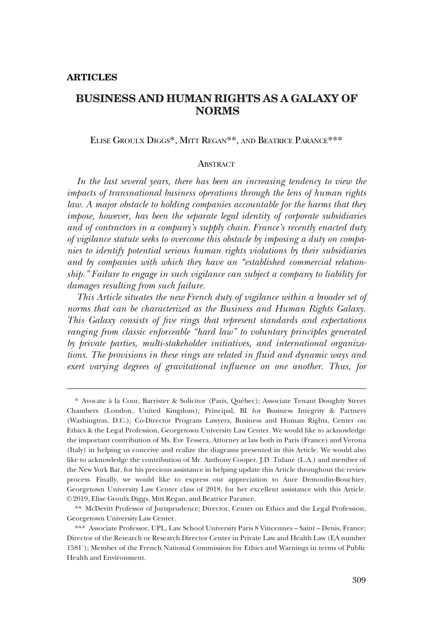ELISE GROULX DIGGS\*, MITT REGAN\*\*, AND BEATRICE PARANCE\*\*\*

#### **ABSTRACT**

*In the last several years, there has been an increasing tendency to view the impacts of transnational business operations through the lens of human rights law.* A major obstacle to holding companies accountable for the harms that they *impose, however, has been the separate legal identity of corporate subsidiaries and of contractors in a company's supply chain. France's recently enacted duty of vigilance statute seeks to overcome this obstacle by imposing a duty on companies to identify potential serious human rights violations by their subsidiaries and by companies with which they have an "established commercial relationship." Failure to engage in such vigilance can subject a company to liability for damages resulting from such failure.* 

*This Article situates the new French duty of vigilance within a broader set of norms that can be characterized as the Business and Human Rights Galaxy. This Galaxy consists of five rings that represent standards and expectations ranging from classic enforceable "hard law" to voluntary principles generated by private parties, multi-stakeholder initiatives, and international organizations. The provisions in these rings are related in fluid and dynamic ways and exert varying degrees of gravitational influence on one another. Thus, for* 

<sup>\*</sup> Avocate a` la Cour, Barrister & Solicitor (Paris, Que´bec); Associate Tenant Doughty Street Chambers (London, United Kingdom); Principal, BI for Business Integrity & Partners (Washington, D.C.); Co-Director Program Lawyers, Business and Human Rights, Center on Ethics & the Legal Profession, Georgetown University Law Center. We would like to acknowledge the important contribution of Ms. Eve Tessera, Attorney at law both in Paris (France) and Verona (Italy) in helping us conceive and realize the diagrams presented in this Article. We would also like to acknowledge the contribution of Mr. Anthony Cooper, J.D. Tulane (L.A.) and member of the New York Bar, for his precious assistance in helping update this Article throughout the review process. Finally, we would like to express our appreciation to Aure Demoulin-Bouchier, Georgetown University Law Center class of 2018, for her excellent assistance with this Article. © 2019, Elise Groulx Diggs, Mitt Regan, and Beatrice Parance.

<sup>\*\*</sup> McDevitt Professor of Jurisprudence; Director, Center on Ethics and the Legal Profession, Georgetown University Law Center.

<sup>\*\*\*</sup> Associate Professor, UPL, Law School University Paris 8 Vincennes – Saint – Denis, France; Director of the Research or Research Director Center in Private Law and Health Law (EA number 1581˚); Member of the French National Commission for Ethics and Warnings in terms of Public Health and Environment.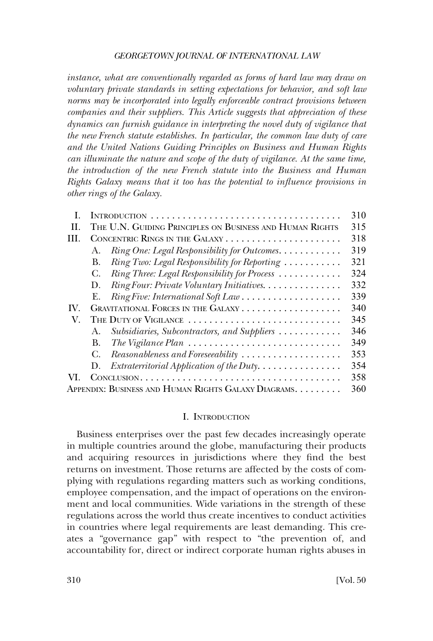*instance, what are conventionally regarded as forms of hard law may draw on voluntary private standards in setting expectations for behavior, and soft law norms may be incorporated into legally enforceable contract provisions between companies and their suppliers. This Article suggests that appreciation of these dynamics can furnish guidance in interpreting the novel duty of vigilance that the new French statute establishes. In particular, the common law duty of care and the United Nations Guiding Principles on Business and Human Rights can illuminate the nature and scope of the duty of vigilance. At the same time, the introduction of the new French statute into the Business and Human Rights Galaxy means that it too has the potential to influence provisions in other rings of the Galaxy.* 

|     |                                                      |                                                                                     | 310 |
|-----|------------------------------------------------------|-------------------------------------------------------------------------------------|-----|
| H.  |                                                      | THE U.N. GUIDING PRINCIPLES ON BUSINESS AND HUMAN RIGHTS                            | 315 |
| HL. |                                                      |                                                                                     | 318 |
|     | A.                                                   | Ring One: Legal Responsibility for Outcomes.                                        | 319 |
|     | В.                                                   | Ring Two: Legal Responsibility for Reporting                                        | 321 |
|     | G.                                                   | Ring Three: Legal Responsibility for Process                                        | 324 |
|     | $D_{\rm{L}}$                                         | Ring Four: Private Voluntary Initiatives.                                           | 332 |
|     | Е.                                                   | Ring Five: International Soft Law                                                   | 339 |
| IV. |                                                      |                                                                                     | 340 |
| V.  |                                                      | THE DUTY OF VIGILANCE                                                               | 345 |
|     | $A_{\cdot}$                                          | Subsidiaries, Subcontractors, and Suppliers                                         | 346 |
|     | В.                                                   | The Vigilance Plan $\ldots \ldots \ldots \ldots \ldots \ldots \ldots \ldots \ldots$ | 349 |
|     | C.                                                   | Reasonableness and Foreseeability                                                   | 353 |
|     | D.                                                   |                                                                                     | 354 |
| VI. |                                                      |                                                                                     | 358 |
|     | APPENDIX: BUSINESS AND HUMAN RIGHTS GALAXY DIAGRAMS. |                                                                                     |     |

### I. INTRODUCTION

Business enterprises over the past few decades increasingly operate in multiple countries around the globe, manufacturing their products and acquiring resources in jurisdictions where they find the best returns on investment. Those returns are affected by the costs of complying with regulations regarding matters such as working conditions, employee compensation, and the impact of operations on the environment and local communities. Wide variations in the strength of these regulations across the world thus create incentives to conduct activities in countries where legal requirements are least demanding. This creates a "governance gap" with respect to "the prevention of, and accountability for, direct or indirect corporate human rights abuses in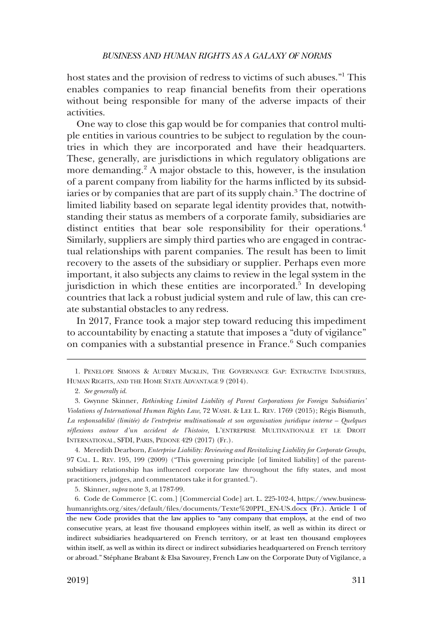host states and the provision of redress to victims of such abuses."1 This enables companies to reap financial benefits from their operations without being responsible for many of the adverse impacts of their activities.

One way to close this gap would be for companies that control multiple entities in various countries to be subject to regulation by the countries in which they are incorporated and have their headquarters. These, generally, are jurisdictions in which regulatory obligations are more demanding.<sup>2</sup> A major obstacle to this, however, is the insulation of a parent company from liability for the harms inflicted by its subsidiaries or by companies that are part of its supply chain.<sup>3</sup> The doctrine of limited liability based on separate legal identity provides that, notwithstanding their status as members of a corporate family, subsidiaries are distinct entities that bear sole responsibility for their operations.<sup>4</sup> Similarly, suppliers are simply third parties who are engaged in contractual relationships with parent companies. The result has been to limit recovery to the assets of the subsidiary or supplier. Perhaps even more important, it also subjects any claims to review in the legal system in the jurisdiction in which these entities are incorporated.<sup>5</sup> In developing countries that lack a robust judicial system and rule of law, this can create substantial obstacles to any redress.

In 2017, France took a major step toward reducing this impediment to accountability by enacting a statute that imposes a "duty of vigilance" on companies with a substantial presence in France.<sup>6</sup> Such companies

4. Meredith Dearborn, *Enterprise Liability: Reviewing and Revitalizing Liability for Corporate Groups*, 97 CAL. L. REV. 195, 199 (2009) ("This governing principle [of limited liability] of the parentsubsidiary relationship has influenced corporate law throughout the fifty states, and most practitioners, judges, and commentators take it for granted.").

5. Skinner, *supra* note 3, at 1787-99.

6. Code de Commerce [C. com.] [Commercial Code] art. L. 225-102-4, [https://www.business](https://www.business-humanrights.org/sites/default/files/documents/Texte%20PPL_EN-US.docx)[humanrights.org/sites/default/files/documents/Texte%20PPL\\_EN-US.docx](https://www.business-humanrights.org/sites/default/files/documents/Texte%20PPL_EN-US.docx) (Fr.). Article 1 of the new Code provides that the law applies to "any company that employs, at the end of two consecutive years, at least five thousand employees within itself, as well as within its direct or indirect subsidiaries headquartered on French territory, or at least ten thousand employees within itself, as well as within its direct or indirect subsidiaries headquartered on French territory or abroad." Stéphane Brabant & Elsa Savourey, French Law on the Corporate Duty of Vigilance, a

<sup>1.</sup> PENELOPE SIMONS & AUDREY MACKLIN, THE GOVERNANCE GAP: EXTRACTIVE INDUSTRIES, HUMAN RIGHTS, AND THE HOME STATE ADVANTAGE 9 (2014).

<sup>2.</sup> *See generally id*.

<sup>3.</sup> Gwynne Skinner, *Rethinking Limited Liability of Parent Corporations for Foreign Subsidiaries' Violations of International Human Rights Law*, 72 WASH. & LEE L. REV. 1769 (2015); Re´gis Bismuth*, La responsabilite´ (limite´e) de l'entreprise multinationale et son organisation juridique interne – Quelques re´flexions autour d'un accident de l'histoire*, L'ENTREPRISE MULTINATIONALE ET LE DROIT INTERNATIONAL, SFDI, PARIS, PEDONE 429 (2017) (Fr.).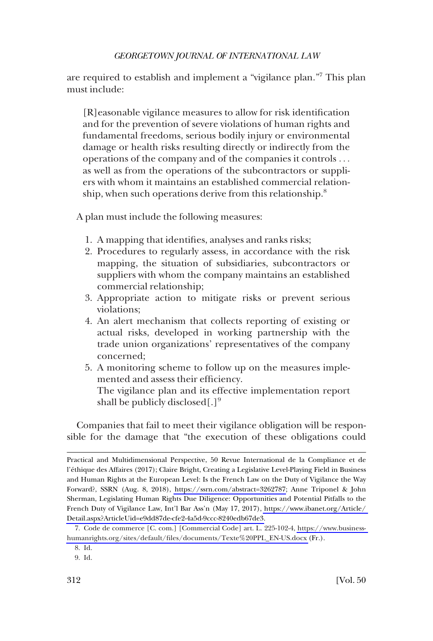are required to establish and implement a "vigilance plan."7 This plan must include:

[R]easonable vigilance measures to allow for risk identification and for the prevention of severe violations of human rights and fundamental freedoms, serious bodily injury or environmental damage or health risks resulting directly or indirectly from the operations of the company and of the companies it controls . . . as well as from the operations of the subcontractors or suppliers with whom it maintains an established commercial relationship, when such operations derive from this relationship.<sup>8</sup>

A plan must include the following measures:

- 1. A mapping that identifies, analyses and ranks risks;
- 2. Procedures to regularly assess, in accordance with the risk mapping, the situation of subsidiaries, subcontractors or suppliers with whom the company maintains an established commercial relationship;
- 3. Appropriate action to mitigate risks or prevent serious violations;
- 4. An alert mechanism that collects reporting of existing or actual risks, developed in working partnership with the trade union organizations' representatives of the company concerned;
- 5. A monitoring scheme to follow up on the measures implemented and assess their efficiency.

The vigilance plan and its effective implementation report shall be publicly disclosed[.]<sup>9</sup>

Companies that fail to meet their vigilance obligation will be responsible for the damage that "the execution of these obligations could

Practical and Multidimensional Perspective, 50 Revue International de la Compliance et de l'e´thique des Affaires (2017); Claire Bright, Creating a Legislative Level-Playing Field in Business and Human Rights at the European Level: Is the French Law on the Duty of Vigilance the Way Forward?, SSRN (Aug. 8, 2018), [https://ssrn.com/abstract=3262787;](https://ssrn.com/abstract=3262787) Anne Triponel & John Sherman, Legislating Human Rights Due Diligence: Opportunities and Potential Pitfalls to the French Duty of Vigilance Law, Int'l Bar Ass'n (May 17, 2017), [https://www.ibanet.org/Article/](https://www.ibanet.org/Article/Detail.aspx?ArticleUid=e9dd87de-cfe2-4a5d-9ccc-8240edb67de3)  [Detail.aspx?ArticleUid=e9dd87de-cfe2-4a5d-9ccc-8240edb67de3.](https://www.ibanet.org/Article/Detail.aspx?ArticleUid=e9dd87de-cfe2-4a5d-9ccc-8240edb67de3)

<sup>7.</sup> Code de commerce [C. com.] [Commercial Code] art. L. 225-102-4, [https://www.business](https://www.business-humanrights.org/sites/default/files/documents/Texte%20PPL_EN-US.docx)[humanrights.org/sites/default/files/documents/Texte%20PPL\\_EN-US.docx](https://www.business-humanrights.org/sites/default/files/documents/Texte%20PPL_EN-US.docx) (Fr.).

<sup>8.</sup> Id.

<sup>9.</sup> Id.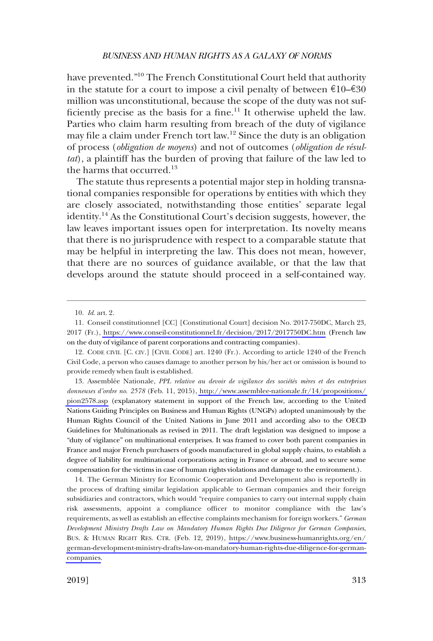have prevented."10 The French Constitutional Court held that authority in the statute for a court to impose a civil penalty of between  $\epsilon 10-\epsilon 30$ million was unconstitutional, because the scope of the duty was not sufficiently precise as the basis for a fine.<sup>11</sup> It otherwise upheld the law. Parties who claim harm resulting from breach of the duty of vigilance may file a claim under French tort law.12 Since the duty is an obligation of process (*obligation de moyens*) and not of outcomes (*obligation de résultat*), a plaintiff has the burden of proving that failure of the law led to the harms that occurred.<sup>13</sup>

The statute thus represents a potential major step in holding transnational companies responsible for operations by entities with which they are closely associated, notwithstanding those entities' separate legal identity.<sup>14</sup> As the Constitutional Court's decision suggests, however, the law leaves important issues open for interpretation. Its novelty means that there is no jurisprudence with respect to a comparable statute that may be helpful in interpreting the law. This does not mean, however, that there are no sources of guidance available, or that the law that develops around the statute should proceed in a self-contained way.

13. Assemblée Nationale, *PPL relative au devoir de vigilance des sociétés mères et des entreprises donneuses d'ordre no. 2578* (Feb. 11, 2015), [http://www.assemblee-nationale.fr/14/propositions/](http://www.assemblee-nationale.fr/14/propositions/pion2578.asp)  [pion2578.asp](http://www.assemblee-nationale.fr/14/propositions/pion2578.asp) (explanatory statement in support of the French law, according to the United Nations Guiding Principles on Business and Human Rights (UNGPs) adopted unanimously by the Human Rights Council of the United Nations in June 2011 and according also to the OECD Guidelines for Multinationals as revised in 2011. The draft legislation was designed to impose a "duty of vigilance" on multinational enterprises. It was framed to cover both parent companies in France and major French purchasers of goods manufactured in global supply chains, to establish a degree of liability for multinational corporations acting in France or abroad, and to secure some compensation for the victims in case of human rights violations and damage to the environment.).

14. The German Ministry for Economic Cooperation and Development also is reportedly in the process of drafting similar legislation applicable to German companies and their foreign subsidiaries and contractors, which would "require companies to carry out internal supply chain risk assessments, appoint a compliance officer to monitor compliance with the law's requirements, as well as establish an effective complaints mechanism for foreign workers." *German Development Ministry Drafts Law on Mandatory Human Rights Due Diligence for German Companies*, BUS. & HUMAN RIGHT RES. CTR. (Feb. 12, 2019), [https://www.business-humanrights.org/en/](https://www.business-humanrights.org/en/german-development-ministry-drafts-law-on-mandatory-human-rights-due-diligence-for-german-companies)  [german-development-ministry-drafts-law-on-mandatory-human-rights-due-diligence-for-german](https://www.business-humanrights.org/en/german-development-ministry-drafts-law-on-mandatory-human-rights-due-diligence-for-german-companies)[companies](https://www.business-humanrights.org/en/german-development-ministry-drafts-law-on-mandatory-human-rights-due-diligence-for-german-companies).

<sup>10.</sup> *Id*. art. 2.

<sup>11.</sup> Conseil constitutionnel [CC] [Constitutional Court] decision No. 2017-750DC, March 23, 2017 (Fr.),<https://www.conseil-constitutionnel.fr/decision/2017/2017750DC.htm> (French law on the duty of vigilance of parent corporations and contracting companies).

<sup>12.</sup> CODE CIVIL [C. CIV.] [CIVIL CODE] art. 1240 (Fr.). According to article 1240 of the French Civil Code, a person who causes damage to another person by his/her act or omission is bound to provide remedy when fault is established.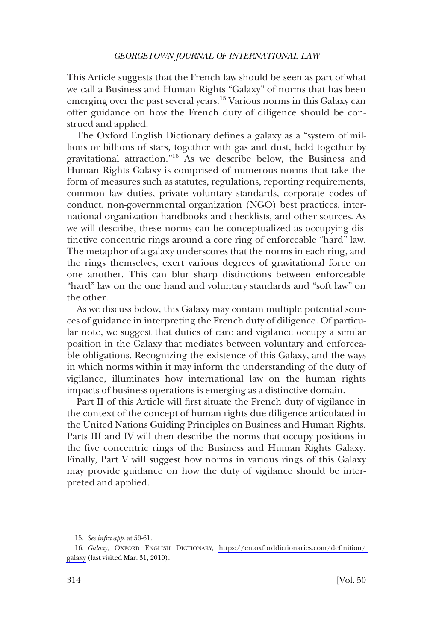This Article suggests that the French law should be seen as part of what we call a Business and Human Rights "Galaxy" of norms that has been emerging over the past several years.15 Various norms in this Galaxy can offer guidance on how the French duty of diligence should be construed and applied.

The Oxford English Dictionary defines a galaxy as a "system of millions or billions of stars, together with gas and dust, held together by gravitational attraction."<sup>16</sup> As we describe below, the Business and Human Rights Galaxy is comprised of numerous norms that take the form of measures such as statutes, regulations, reporting requirements, common law duties, private voluntary standards, corporate codes of conduct, non-governmental organization (NGO) best practices, international organization handbooks and checklists, and other sources. As we will describe, these norms can be conceptualized as occupying distinctive concentric rings around a core ring of enforceable "hard" law. The metaphor of a galaxy underscores that the norms in each ring, and the rings themselves, exert various degrees of gravitational force on one another. This can blur sharp distinctions between enforceable "hard" law on the one hand and voluntary standards and "soft law" on the other.

As we discuss below, this Galaxy may contain multiple potential sources of guidance in interpreting the French duty of diligence. Of particular note, we suggest that duties of care and vigilance occupy a similar position in the Galaxy that mediates between voluntary and enforceable obligations. Recognizing the existence of this Galaxy, and the ways in which norms within it may inform the understanding of the duty of vigilance, illuminates how international law on the human rights impacts of business operations is emerging as a distinctive domain.

Part II of this Article will first situate the French duty of vigilance in the context of the concept of human rights due diligence articulated in the United Nations Guiding Principles on Business and Human Rights. Parts III and IV will then describe the norms that occupy positions in the five concentric rings of the Business and Human Rights Galaxy. Finally, Part V will suggest how norms in various rings of this Galaxy may provide guidance on how the duty of vigilance should be interpreted and applied.

<sup>15.</sup> *See infra app*. at 59-61.

*Galaxy*, OXFORD ENGLISH DICTIONARY, [https://en.oxforddictionaries.com/definition/](https://en.oxforddictionaries.com/definition/galaxy)  16. [galaxy](https://en.oxforddictionaries.com/definition/galaxy) (last visited Mar. 31, 2019).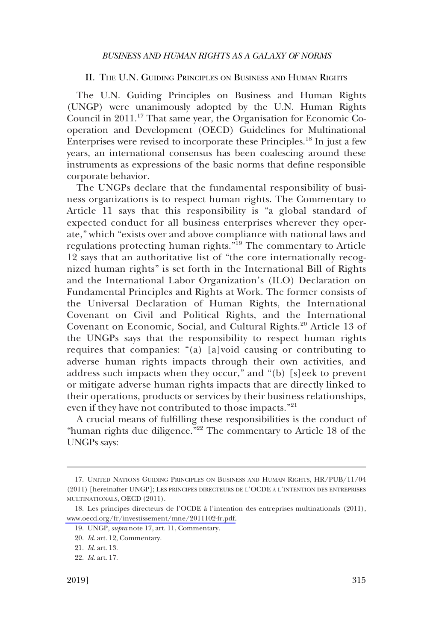### <span id="page-6-0"></span>II. THE U.N. GUIDING PRINCIPLES ON BUSINESS AND HUMAN RIGHTS

The U.N. Guiding Principles on Business and Human Rights (UNGP) were unanimously adopted by the U.N. Human Rights Council in 2011.17 That same year, the Organisation for Economic Cooperation and Development (OECD) Guidelines for Multinational Enterprises were revised to incorporate these Principles.<sup>18</sup> In just a few years, an international consensus has been coalescing around these instruments as expressions of the basic norms that define responsible corporate behavior.

The UNGPs declare that the fundamental responsibility of business organizations is to respect human rights. The Commentary to Article 11 says that this responsibility is "a global standard of expected conduct for all business enterprises wherever they operate," which "exists over and above compliance with national laws and regulations protecting human rights."19 The commentary to Article 12 says that an authoritative list of "the core internationally recognized human rights" is set forth in the International Bill of Rights and the International Labor Organization's (ILO) Declaration on Fundamental Principles and Rights at Work. The former consists of the Universal Declaration of Human Rights, the International Covenant on Civil and Political Rights, and the International Covenant on Economic, Social, and Cultural Rights.<sup>20</sup> Article 13 of the UNGPs says that the responsibility to respect human rights requires that companies: "(a) [a]void causing or contributing to adverse human rights impacts through their own activities, and address such impacts when they occur," and "(b) [s]eek to prevent or mitigate adverse human rights impacts that are directly linked to their operations, products or services by their business relationships, even if they have not contributed to those impacts."<sup>21</sup>

A crucial means of fulfilling these responsibilities is the conduct of "human rights due diligence."<sup>22</sup> The commentary to Article 18 of the UNGPs says:

<sup>17.</sup> UNITED NATIONS GUIDING PRINCIPLES ON BUSINESS AND HUMAN RIGHTS, HR/PUB/11/04 (2011) [hereinafter UNGP]; LES PRINCIPES DIRECTEURS DE L'OCDE A � L'INTENTION DES ENTREPRISES MULTINATIONALS, OECD (2011).

<sup>18.</sup> Les principes directeurs de l'OCDE à l'intention des entreprises multinationals (2011), [www.oecd.org/fr/investissement/mne/2011102-fr.pdf.](http://www.oecd.org/fr/investissement/mne/2011102-fr.pdf)

<sup>19.</sup> UNGP*, supra* note 17, art. 11, Commentary.

<sup>20.</sup> *Id*. art. 12, Commentary.

<sup>21.</sup> *Id*. art. 13.

<sup>22.</sup> *Id*. art. 17.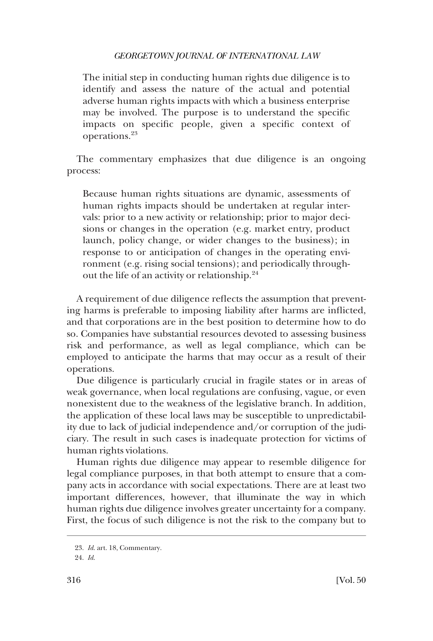The initial step in conducting human rights due diligence is to identify and assess the nature of the actual and potential adverse human rights impacts with which a business enterprise may be involved. The purpose is to understand the specific impacts on specific people, given a specific context of operations.<sup>23</sup>

The commentary emphasizes that due diligence is an ongoing process:

Because human rights situations are dynamic, assessments of human rights impacts should be undertaken at regular intervals: prior to a new activity or relationship; prior to major decisions or changes in the operation (e.g. market entry, product launch, policy change, or wider changes to the business); in response to or anticipation of changes in the operating environment (e.g. rising social tensions); and periodically throughout the life of an activity or relationship.<sup>24</sup>

A requirement of due diligence reflects the assumption that preventing harms is preferable to imposing liability after harms are inflicted, and that corporations are in the best position to determine how to do so. Companies have substantial resources devoted to assessing business risk and performance, as well as legal compliance, which can be employed to anticipate the harms that may occur as a result of their operations.

Due diligence is particularly crucial in fragile states or in areas of weak governance, when local regulations are confusing, vague, or even nonexistent due to the weakness of the legislative branch. In addition, the application of these local laws may be susceptible to unpredictability due to lack of judicial independence and/or corruption of the judiciary. The result in such cases is inadequate protection for victims of human rights violations.

Human rights due diligence may appear to resemble diligence for legal compliance purposes, in that both attempt to ensure that a company acts in accordance with social expectations. There are at least two important differences, however, that illuminate the way in which human rights due diligence involves greater uncertainty for a company. First, the focus of such diligence is not the risk to the company but to

<sup>23.</sup> *Id*. art. 18, Commentary.

<sup>24.</sup> *Id*.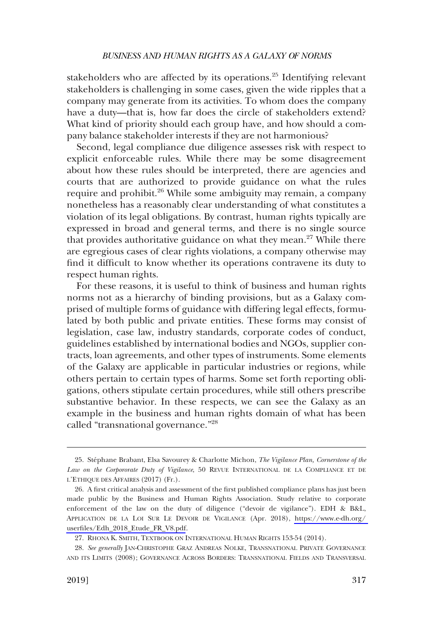stakeholders who are affected by its operations. $25$  Identifying relevant stakeholders is challenging in some cases, given the wide ripples that a company may generate from its activities. To whom does the company have a duty—that is, how far does the circle of stakeholders extend? What kind of priority should each group have, and how should a company balance stakeholder interests if they are not harmonious?

Second, legal compliance due diligence assesses risk with respect to explicit enforceable rules. While there may be some disagreement about how these rules should be interpreted, there are agencies and courts that are authorized to provide guidance on what the rules require and prohibit.<sup>26</sup> While some ambiguity may remain, a company nonetheless has a reasonably clear understanding of what constitutes a violation of its legal obligations. By contrast, human rights typically are expressed in broad and general terms, and there is no single source that provides authoritative guidance on what they mean.<sup>27</sup> While there are egregious cases of clear rights violations, a company otherwise may find it difficult to know whether its operations contravene its duty to respect human rights.

For these reasons, it is useful to think of business and human rights norms not as a hierarchy of binding provisions, but as a Galaxy comprised of multiple forms of guidance with differing legal effects, formulated by both public and private entities. These forms may consist of legislation, case law, industry standards, corporate codes of conduct, guidelines established by international bodies and NGOs, supplier contracts, loan agreements, and other types of instruments. Some elements of the Galaxy are applicable in particular industries or regions, while others pertain to certain types of harms. Some set forth reporting obligations, others stipulate certain procedures, while still others prescribe substantive behavior. In these respects, we can see the Galaxy as an example in the business and human rights domain of what has been called "transnational governance."28

<sup>25.</sup> Ste´phane Brabant, Elsa Savourey & Charlotte Michon, *The Vigilance Plan, Cornerstone of the Law on the Corpororate Duty of Vigilance*, 50 REVUE INTERNATIONAL DE LA COMPLIANCE ET DE L'ETHIQUE DES AFFAIRES (2017) (Fr.).

A first critical analysis and assessment of the first published compliance plans has just been 26. made public by the Business and Human Rights Association. Study relative to corporate enforcement of the law on the duty of diligence ("devoir de vigilance"). EDH & B&L, APPLICATION DE LA LOI SUR LE DEVOIR DE VIGILANCE (Apr. 2018), [https://www.e-dh.org/](https://www.e-dh.org/userfiles/Edh_2018_Etude_FR_V8.pdf)  [userfiles/Edh\\_2018\\_Etude\\_FR\\_V8.pdf](https://www.e-dh.org/userfiles/Edh_2018_Etude_FR_V8.pdf).

<sup>27.</sup> RHONA K. SMITH, TEXTBOOK ON INTERNATIONAL HUMAN RIGHTS 153-54 (2014).

<sup>28.</sup> *See generally* JAN-CHRISTOPHE GRAZ ANDREAS NOLKE, TRANSNATIONAL PRIVATE GOVERNANCE AND ITS LIMITS (2008); GOVERNANCE ACROSS BORDERS: TRANSNATIONAL FIELDS AND TRANSVERSAL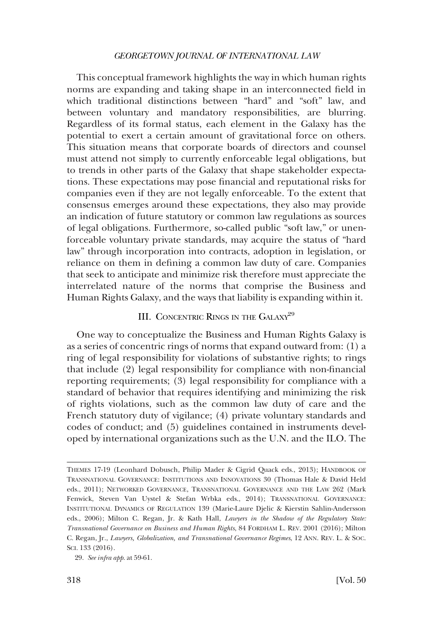<span id="page-9-0"></span>This conceptual framework highlights the way in which human rights norms are expanding and taking shape in an interconnected field in which traditional distinctions between "hard" and "soft" law, and between voluntary and mandatory responsibilities, are blurring. Regardless of its formal status, each element in the Galaxy has the potential to exert a certain amount of gravitational force on others. This situation means that corporate boards of directors and counsel must attend not simply to currently enforceable legal obligations, but to trends in other parts of the Galaxy that shape stakeholder expectations. These expectations may pose financial and reputational risks for companies even if they are not legally enforceable. To the extent that consensus emerges around these expectations, they also may provide an indication of future statutory or common law regulations as sources of legal obligations. Furthermore, so-called public "soft law," or unenforceable voluntary private standards, may acquire the status of "hard law" through incorporation into contracts, adoption in legislation, or reliance on them in defining a common law duty of care. Companies that seek to anticipate and minimize risk therefore must appreciate the interrelated nature of the norms that comprise the Business and Human Rights Galaxy, and the ways that liability is expanding within it.

### III. CONCENTRIC RINGS IN THE GALAXY<sup>29</sup>

One way to conceptualize the Business and Human Rights Galaxy is as a series of concentric rings of norms that expand outward from: (1) a ring of legal responsibility for violations of substantive rights; to rings that include (2) legal responsibility for compliance with non-financial reporting requirements; (3) legal responsibility for compliance with a standard of behavior that requires identifying and minimizing the risk of rights violations, such as the common law duty of care and the French statutory duty of vigilance; (4) private voluntary standards and codes of conduct; and (5) guidelines contained in instruments developed by international organizations such as the U.N. and the ILO. The

THEMES 17-19 (Leonhard Dobusch, Philip Mader & Cigrid Quack eds., 2013); HANDBOOK OF TRANSNATIONAL GOVERNANCE: INSTITUTIONS AND INNOVATIONS 30 (Thomas Hale & David Held eds., 2011); NETWORKED GOVERNANCE, TRANSNATIONAL GOVERNANCE AND THE LAW 262 (Mark Fenwick, Steven Van Uystel & Stefan Wrbka eds., 2014); TRANSNATIONAL GOVERNANCE: INSTITUTIONAL DYNAMICS OF REGULATION 139 (Marie-Laure Djelic & Kierstin Sahlin-Andersson eds., 2006); Milton C. Regan, Jr. & Kath Hall, *Lawyers in the Shadow of the Regulatory State: Transnational Governance on Business and Human Rights*, 84 FORDHAM L. REV. 2001 (2016); Milton C. Regan, Jr., *Lawyers, Globalization, and Transnational Governance Regimes*, 12 ANN. REV. L. & SOC. SCI. 133 (2016).

<sup>29.</sup> *See infra app*. at 59-61.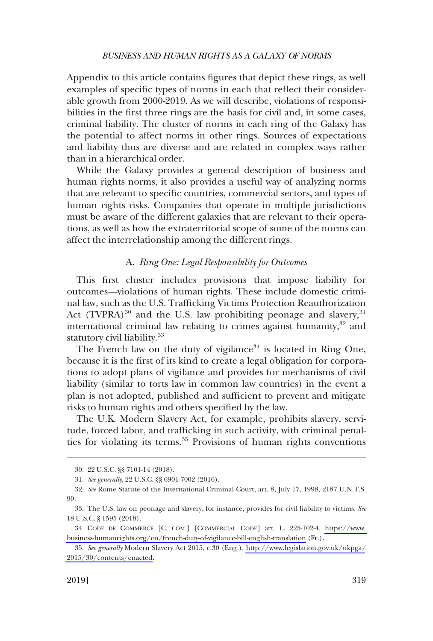<span id="page-10-0"></span>Appendix to this article contains figures that depict these rings, as well examples of specific types of norms in each that reflect their considerable growth from 2000-2019. As we will describe, violations of responsibilities in the first three rings are the basis for civil and, in some cases, criminal liability. The cluster of norms in each ring of the Galaxy has the potential to affect norms in other rings. Sources of expectations and liability thus are diverse and are related in complex ways rather than in a hierarchical order.

While the Galaxy provides a general description of business and human rights norms, it also provides a useful way of analyzing norms that are relevant to specific countries, commercial sectors, and types of human rights risks. Companies that operate in multiple jurisdictions must be aware of the different galaxies that are relevant to their operations, as well as how the extraterritorial scope of some of the norms can affect the interrelationship among the different rings.

### A. *Ring One: Legal Responsibility for Outcomes*

This first cluster includes provisions that impose liability for outcomes—violations of human rights. These include domestic criminal law, such as the U.S. Trafficking Victims Protection Reauthorization Act  $(TVPRA)^{30}$  and the U.S. law prohibiting peonage and slavery,  $31$ international criminal law relating to crimes against humanity, $32$  and statutory civil liability.<sup>33</sup>

The French law on the duty of vigilance<sup>34</sup> is located in Ring One, because it is the first of its kind to create a legal obligation for corporations to adopt plans of vigilance and provides for mechanisms of civil liability (similar to torts law in common law countries) in the event a plan is not adopted, published and sufficient to prevent and mitigate risks to human rights and others specified by the law.

The U.K. Modern Slavery Act, for example, prohibits slavery, servitude, forced labor, and trafficking in such activity, with criminal penalties for violating its terms.<sup>35</sup> Provisions of human rights conventions

<sup>30. 22</sup> U.S.C. §§ 7101-14 (2018).

<sup>31.</sup> *See generally*, 22 U.S.C. §§ 6901-7002 (2016).

<sup>32.</sup> *See* Rome Statute of the International Criminal Court, art. 8, July 17, 1998, 2187 U.N.T.S. 90.

<sup>33.</sup> The U.S. law on peonage and slavery, for instance, provides for civil liability to victims. *See*  18 U.S.C. § 1595 (2018).

CODE DE COMMERCE [C. COM.] [COMMERCIAL CODE] art. L. 225-102-4, [https://www.](https://www.business-humanrights.org/en/french-duty-of-vigilance-bill-english-translation)  34. [business-humanrights.org/en/french-duty-of-vigilance-bill-english-translation](https://www.business-humanrights.org/en/french-duty-of-vigilance-bill-english-translation) (Fr.).

*See generally* Modern Slavery Act 2015, c.30 (Eng.), [http://www.legislation.gov.uk/ukpga/](http://www.legislation.gov.uk/ukpga/2015/30/contents/enacted) 35. [2015/30/contents/enacted](http://www.legislation.gov.uk/ukpga/2015/30/contents/enacted).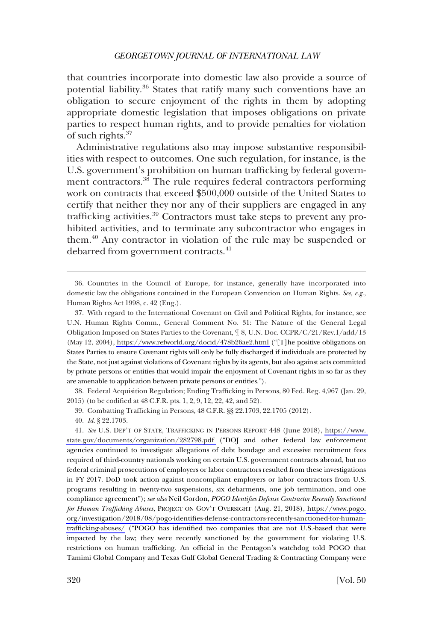that countries incorporate into domestic law also provide a source of potential liability.36 States that ratify many such conventions have an obligation to secure enjoyment of the rights in them by adopting appropriate domestic legislation that imposes obligations on private parties to respect human rights, and to provide penalties for violation of such rights.<sup>37</sup>

Administrative regulations also may impose substantive responsibilities with respect to outcomes. One such regulation, for instance, is the U.S. government's prohibition on human trafficking by federal government contractors.<sup>38</sup> The rule requires federal contractors performing work on contracts that exceed \$500,000 outside of the United States to certify that neither they nor any of their suppliers are engaged in any trafficking activities.<sup>39</sup> Contractors must take steps to prevent any prohibited activities, and to terminate any subcontractor who engages in them.40 Any contractor in violation of the rule may be suspended or debarred from government contracts.<sup>41</sup>

38. Federal Acquisition Regulation; Ending Trafficking in Persons, 80 Fed. Reg. 4,967 (Jan. 29, 2015) (to be codified at 48 C.F.R. pts. 1, 2, 9, 12, 22, 42, and 52).

39. Combatting Trafficking in Persons, 48 C.F.R. §§ 22.1703, 22.1705 (2012).

40. *Id*. § 22.1703.

41. *See* U.S. DEP'T OF STATE, TRAFFICKING IN PERSONS REPORT 448 (June 2018), [https://www.](https://www.state.gov/documents/organization/282798.pdf)  [state.gov/documents/organization/282798.pdf](https://www.state.gov/documents/organization/282798.pdf) ("DOJ and other federal law enforcement agencies continued to investigate allegations of debt bondage and excessive recruitment fees required of third-country nationals working on certain U.S. government contracts abroad, but no federal criminal prosecutions of employers or labor contractors resulted from these investigations in FY 2017. DoD took action against noncompliant employers or labor contractors from U.S. programs resulting in twenty-two suspensions, six debarments, one job termination, and one compliance agreement"); *see also* Neil Gordon, *POGO Identifies Defense Contractor Recently Sanctioned for Human Trafficking Abuses*, PROJECT ON GOV'T OVERSIGHT (Aug. 21, 2018), [https://www.pogo.](https://www.pogo.org/investigation/2018/08/pogo-identifies-defense-contractors-recently-sanctioned-for-human-trafficking-abuses/) [org/investigation/2018/08/pogo-identifies-defense-contractors-recently-sanctioned-for-human](https://www.pogo.org/investigation/2018/08/pogo-identifies-defense-contractors-recently-sanctioned-for-human-trafficking-abuses/)[trafficking-abuses/](https://www.pogo.org/investigation/2018/08/pogo-identifies-defense-contractors-recently-sanctioned-for-human-trafficking-abuses/) ("POGO has identified two companies that are not U.S.-based that were impacted by the law; they were recently sanctioned by the government for violating U.S. restrictions on human trafficking. An official in the Pentagon's watchdog told POGO that Tamimi Global Company and Texas Gulf Global General Trading & Contracting Company were

<sup>36.</sup> Countries in the Council of Europe, for instance, generally have incorporated into domestic law the obligations contained in the European Convention on Human Rights. *See, e.g*., Human Rights Act 1998, c. 42 (Eng.).

With regard to the International Covenant on Civil and Political Rights, for instance, see 37. U.N. Human Rights Comm., General Comment No. 31: The Nature of the General Legal Obligation Imposed on States Parties to the Covenant, ¶ 8, U.N. Doc. CCPR/C/21/Rev.1/add/13 (May 12, 2004),<https://www.refworld.org/docid/478b26ae2.html>("[T]he positive obligations on States Parties to ensure Covenant rights will only be fully discharged if individuals are protected by the State, not just against violations of Covenant rights by its agents, but also against acts committed by private persons or entities that would impair the enjoyment of Covenant rights in so far as they are amenable to application between private persons or entities.").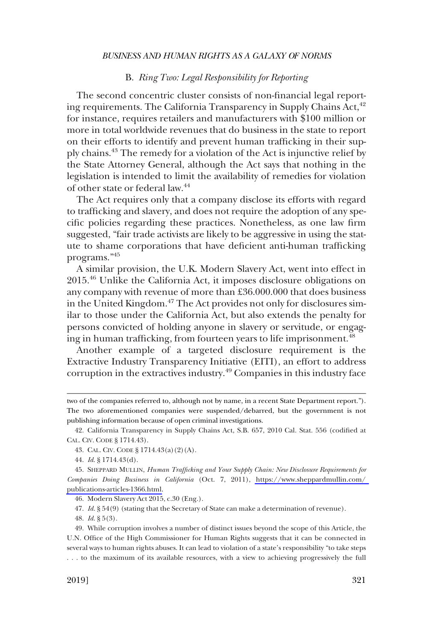### B. *Ring Two: Legal Responsibility for Reporting*

<span id="page-12-0"></span>The second concentric cluster consists of non-financial legal reporting requirements. The California Transparency in Supply Chains Act, $42$ for instance, requires retailers and manufacturers with \$100 million or more in total worldwide revenues that do business in the state to report on their efforts to identify and prevent human trafficking in their supply chains.43 The remedy for a violation of the Act is injunctive relief by the State Attorney General, although the Act says that nothing in the legislation is intended to limit the availability of remedies for violation of other state or federal law.44

The Act requires only that a company disclose its efforts with regard to trafficking and slavery, and does not require the adoption of any specific policies regarding these practices. Nonetheless, as one law firm suggested, "fair trade activists are likely to be aggressive in using the statute to shame corporations that have deficient anti-human trafficking programs."<sup>45</sup>

A similar provision, the U.K. Modern Slavery Act, went into effect in 2015.46 Unlike the California Act, it imposes disclosure obligations on any company with revenue of more than £36.000.000 that does business in the United Kingdom.<sup>47</sup> The Act provides not only for disclosures similar to those under the California Act, but also extends the penalty for persons convicted of holding anyone in slavery or servitude, or engaging in human trafficking, from fourteen years to life imprisonment.<sup>48</sup>

Another example of a targeted disclosure requirement is the Extractive Industry Transparency Initiative (EITI), an effort to address corruption in the extractives industry.<sup>49</sup> Companies in this industry face

47. *Id*. § 54(9) (stating that the Secretary of State can make a determination of revenue).

48. *Id*. § 5(3).

two of the companies referred to, although not by name, in a recent State Department report."). The two aforementioned companies were suspended/debarred, but the government is not publishing information because of open criminal investigations.

<sup>42.</sup> California Transparency in Supply Chains Act, S.B. 657, 2010 Cal. Stat. 556 (codified at CAL. CIV. CODE § 1714.43).

<sup>43.</sup> CAL. CIV. CODE § 1714.43(a)(2)(A).

<sup>44.</sup> *Id*. § 1714.43(d).

SHEPPARD MULLIN, *Human Trafficking and Your Supply Chain: New Disclosure Requirements for*  45. *Companies Doing Business in California* (Oct. 7, 2011), [https://www.sheppardmullin.com/](https://www.sheppardmullin.com/publications-articles-1366.html)  [publications-articles-1366.html.](https://www.sheppardmullin.com/publications-articles-1366.html)

<sup>46.</sup> Modern Slavery Act 2015, c.30 (Eng.).

<sup>49.</sup> While corruption involves a number of distinct issues beyond the scope of this Article, the U.N. Office of the High Commissioner for Human Rights suggests that it can be connected in several ways to human rights abuses. It can lead to violation of a state's responsibility "to take steps . . . to the maximum of its available resources, with a view to achieving progressively the full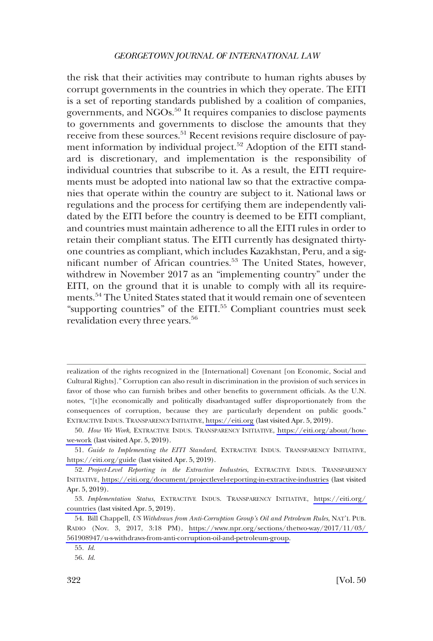the risk that their activities may contribute to human rights abuses by corrupt governments in the countries in which they operate. The EITI is a set of reporting standards published by a coalition of companies, governments, and NGOs.<sup>50</sup> It requires companies to disclose payments to governments and governments to disclose the amounts that they receive from these sources.<sup>51</sup> Recent revisions require disclosure of payment information by individual project.<sup>52</sup> Adoption of the EITI standard is discretionary, and implementation is the responsibility of individual countries that subscribe to it. As a result, the EITI requirements must be adopted into national law so that the extractive companies that operate within the country are subject to it. National laws or regulations and the process for certifying them are independently validated by the EITI before the country is deemed to be EITI compliant, and countries must maintain adherence to all the EITI rules in order to retain their compliant status. The EITI currently has designated thirtyone countries as compliant, which includes Kazakhstan, Peru, and a significant number of African countries.<sup>53</sup> The United States, however, withdrew in November 2017 as an "implementing country" under the EITI, on the ground that it is unable to comply with all its requirements.<sup>54</sup> The United States stated that it would remain one of seventeen "supporting countries" of the EITI.<sup>55</sup> Compliant countries must seek revalidation every three years.<sup>56</sup>

realization of the rights recognized in the [International] Covenant [on Economic, Social and Cultural Rights]." Corruption can also result in discrimination in the provision of such services in favor of those who can furnish bribes and other benefits to government officials. As the U.N. notes, "[t]he economically and politically disadvantaged suffer disproportionately from the consequences of corruption, because they are particularly dependent on public goods." EXTRACTIVE INDUS. TRANSPARENCY INITIATIVE,<https://eiti.org> (last visited Apr. 5, 2019).

*How We Work*, EXTRACTIVE INDUS. TRANSPARENCY INITIATIVE, [https://eiti.org/about/how-](https://eiti.org/about/how-we-work)50. [we-work](https://eiti.org/about/how-we-work) (last visited Apr. 5, 2019).

<sup>51.</sup> Guide to Implementing the EITI Standard, EXTRACTIVE INDUS. TRANSPARENCY INITIATIVE, <https://eiti.org/guide> (last visited Apr. 5, 2019).

*Project-Level Reporting in the Extractive Industries*, EXTRACTIVE INDUS. TRANSPARENCY 52. INITIATIVE,<https://eiti.org/document/projectlevel-reporting-in-extractive-industries> (last visited Apr. 5, 2019).

*Implementation Status*, EXTRACTIVE INDUS. TRANSPARENCY INITIATIVE, [https://eiti.org/](https://eiti.org/countries)  53. [countries](https://eiti.org/countries) (last visited Apr. 5, 2019).

<sup>54.</sup> Bill Chappell, *US Withdraws from Anti-Corruption Group's Oil and Petroleum Rules*, NAT'L PUB. RADIO (Nov. 3, 2017, 3:18 PM), [https://www.npr.org/sections/thetwo-way/2017/11/03/](https://www.npr.org/sections/thetwo-way/2017/11/03/561908947/u-s-withdraws-from-anti-corruption-oil-and-petroleum-group)  [561908947/u-s-withdraws-from-anti-corruption-oil-and-petroleum-group.](https://www.npr.org/sections/thetwo-way/2017/11/03/561908947/u-s-withdraws-from-anti-corruption-oil-and-petroleum-group)

<sup>55.</sup> *Id*.

<sup>56.</sup> *Id*.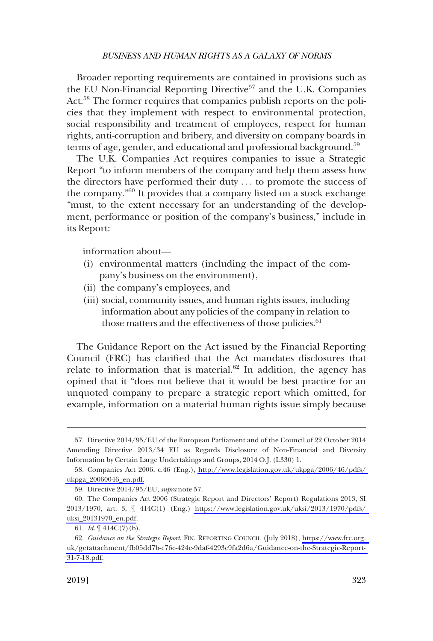Broader reporting requirements are contained in provisions such as the EU Non-Financial Reporting Directive<sup>57</sup> and the U.K. Companies Act.<sup>58</sup> The former requires that companies publish reports on the policies that they implement with respect to environmental protection, social responsibility and treatment of employees, respect for human rights, anti-corruption and bribery, and diversity on company boards in terms of age, gender, and educational and professional background.<sup>59</sup>

The U.K. Companies Act requires companies to issue a Strategic Report "to inform members of the company and help them assess how the directors have performed their duty . . . to promote the success of the company."60 It provides that a company listed on a stock exchange "must, to the extent necessary for an understanding of the development, performance or position of the company's business," include in its Report:

information about—

- (i) environmental matters (including the impact of the company's business on the environment),
- (ii) the company's employees, and
- (iii) social, community issues, and human rights issues, including information about any policies of the company in relation to those matters and the effectiveness of those policies.<sup>61</sup>

The Guidance Report on the Act issued by the Financial Reporting Council (FRC) has clarified that the Act mandates disclosures that relate to information that is material. $62$  In addition, the agency has opined that it "does not believe that it would be best practice for an unquoted company to prepare a strategic report which omitted, for example, information on a material human rights issue simply because

<sup>57.</sup> Directive 2014/95/EU of the European Parliament and of the Council of 22 October 2014 Amending Directive 2013/34 EU as Regards Disclosure of Non-Financial and Diversity Information by Certain Large Undertakings and Groups, 2014 O.J. (L330) 1.

<sup>58.</sup> Companies Act 2006, c.46 (Eng.), http://www.legislation.gov.uk/ukpga/2006/46/pdfs/ [ukpga\\_20060046\\_en.pdf.](http://www.legislation.gov.uk/ukpga/2006/46/pdfs/ukpga_20060046_en.pdf)

<sup>59.</sup> Directive 2014/95/EU, *supra* note 57.

The Companies Act 2006 (Strategic Report and Directors' Report) Regulations 2013, SI 60. 2013/1970, art. 3, ¶ 414C(1) (Eng.) [https://www.legislation.gov.uk/uksi/2013/1970/pdfs/](https://www.legislation.gov.uk/uksi/2013/1970/pdfs/uksi_20131970_en.pdf)  [uksi\\_20131970\\_en.pdf.](https://www.legislation.gov.uk/uksi/2013/1970/pdfs/uksi_20131970_en.pdf)

<sup>61.</sup> *Id*. ¶ 414C(7)(b).

*Guidance on the Strategic Report*, FIN. REPORTING COUNCIL (July 2018), [https://www.frc.org.](https://www.frc.org.uk/getattachment/fb05dd7b-c76c-424e-9daf-4293c9fa2d6a/Guidance-on-the-Strategic-Report-31-7-18.pdf)  62. [uk/getattachment/fb05dd7b-c76c-424e-9daf-4293c9fa2d6a/Guidance-on-the-Strategic-Report-](https://www.frc.org.uk/getattachment/fb05dd7b-c76c-424e-9daf-4293c9fa2d6a/Guidance-on-the-Strategic-Report-31-7-18.pdf)[31-7-18.pdf.](https://www.frc.org.uk/getattachment/fb05dd7b-c76c-424e-9daf-4293c9fa2d6a/Guidance-on-the-Strategic-Report-31-7-18.pdf)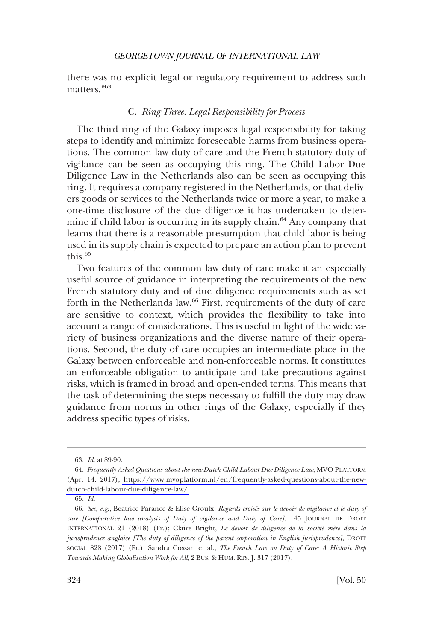<span id="page-15-0"></span>there was no explicit legal or regulatory requirement to address such matters."<sup>63</sup>

### C. *Ring Three: Legal Responsibility for Process*

The third ring of the Galaxy imposes legal responsibility for taking steps to identify and minimize foreseeable harms from business operations. The common law duty of care and the French statutory duty of vigilance can be seen as occupying this ring. The Child Labor Due Diligence Law in the Netherlands also can be seen as occupying this ring. It requires a company registered in the Netherlands, or that delivers goods or services to the Netherlands twice or more a year, to make a one-time disclosure of the due diligence it has undertaken to determine if child labor is occurring in its supply chain.<sup>64</sup> Any company that learns that there is a reasonable presumption that child labor is being used in its supply chain is expected to prepare an action plan to prevent this.<sup>65</sup>

Two features of the common law duty of care make it an especially useful source of guidance in interpreting the requirements of the new French statutory duty and of due diligence requirements such as set forth in the Netherlands law.<sup>66</sup> First, requirements of the duty of care are sensitive to context, which provides the flexibility to take into account a range of considerations. This is useful in light of the wide variety of business organizations and the diverse nature of their operations. Second, the duty of care occupies an intermediate place in the Galaxy between enforceable and non-enforceable norms. It constitutes an enforceable obligation to anticipate and take precautions against risks, which is framed in broad and open-ended terms. This means that the task of determining the steps necessary to fulfill the duty may draw guidance from norms in other rings of the Galaxy, especially if they address specific types of risks.

<sup>63.</sup> *Id*. at 89-90.

*Frequently Asked Questions about the new Dutch Child Labour Due Diligence Law*, MVO PLATFORM 64. (Apr. 14, 2017), [https://www.mvoplatform.nl/en/frequently-asked-questions-about-the-new](https://www.mvoplatform.nl/en/frequently-asked-questions-about-the-new-dutch-child-labour-due-diligence-law/)[dutch-child-labour-due-diligence-law/.](https://www.mvoplatform.nl/en/frequently-asked-questions-about-the-new-dutch-child-labour-due-diligence-law/)

<sup>65.</sup> *Id*.

<sup>66.</sup> *See, e.g*., Beatrice Parance & Elise Groulx, *Regards croise´s sur le devoir de vigilance et le duty of care [Comparative law analysis of Duty of vigilance and Duty of Care]*, 145 JOURNAL DE DROIT INTERNATIONAL 21 (2018) (Fr.); Claire Bright, *Le devoir de diligence de la société mère dans la jurisprudence anglaise [The duty of diligence of the parent corporation in English jurisprudence]*, DROIT SOCIAL 828 (2017) (Fr.); Sandra Cossart et al., *The French Law on Duty of Care: A Historic Step Towards Making Globalisation Work for All*, 2 BUS. & HUM. RTS. J. 317 (2017).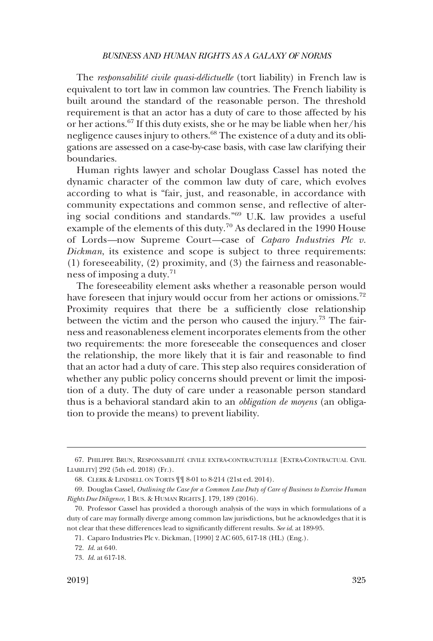The *responsabilité civile quasi-délictuelle* (tort liability) in French law is equivalent to tort law in common law countries. The French liability is built around the standard of the reasonable person. The threshold requirement is that an actor has a duty of care to those affected by his or her actions.67 If this duty exists, she or he may be liable when her/his negligence causes injury to others.<sup>68</sup> The existence of a duty and its obligations are assessed on a case-by-case basis, with case law clarifying their boundaries.

Human rights lawyer and scholar Douglass Cassel has noted the dynamic character of the common law duty of care, which evolves according to what is "fair, just, and reasonable, in accordance with community expectations and common sense, and reflective of altering social conditions and standards."69 U.K. law provides a useful example of the elements of this duty.<sup>70</sup> As declared in the 1990 House of Lords*—*now Supreme Court*—*case of *Caparo Industries Plc v. Dickman*, its existence and scope is subject to three requirements: (1) foreseeability, (2) proximity, and (3) the fairness and reasonableness of imposing a duty.<sup>71</sup>

The foreseeability element asks whether a reasonable person would have foreseen that injury would occur from her actions or omissions.<sup>72</sup> Proximity requires that there be a sufficiently close relationship between the victim and the person who caused the injury.<sup>73</sup> The fairness and reasonableness element incorporates elements from the other two requirements: the more foreseeable the consequences and closer the relationship, the more likely that it is fair and reasonable to find that an actor had a duty of care. This step also requires consideration of whether any public policy concerns should prevent or limit the imposition of a duty. The duty of care under a reasonable person standard thus is a behavioral standard akin to an *obligation de moyens* (an obligation to provide the means) to prevent liability.

<sup>67.</sup> PHILIPPE BRUN, RESPONSABILITE´ CIVILE EXTRA-CONTRACTUELLE [EXTRA-CONTRACTUAL CIVIL LIABILITY] 292 (5th ed. 2018) (Fr.).

<sup>68.</sup> CLERK & LINDSELL ON TORTS ¶¶ 8-01 to 8-214 (21st ed. 2014).

<sup>69.</sup> Douglas Cassel, *Outlining the Case for a Common Law Duty of Care of Business to Exercise Human Rights Due Diligence*, 1 BUS. & HUMAN RIGHTS J. 179, 189 (2016).

<sup>70.</sup> Professor Cassel has provided a thorough analysis of the ways in which formulations of a duty of care may formally diverge among common law jurisdictions, but he acknowledges that it is not clear that these differences lead to significantly different results. *See id*. at 189-95.

<sup>71.</sup> Caparo Industries Plc v. Dickman, [1990] 2 AC 605, 617-18 (HL) (Eng.).

<sup>72.</sup> *Id*. at 640.

<sup>73.</sup> *Id*. at 617-18.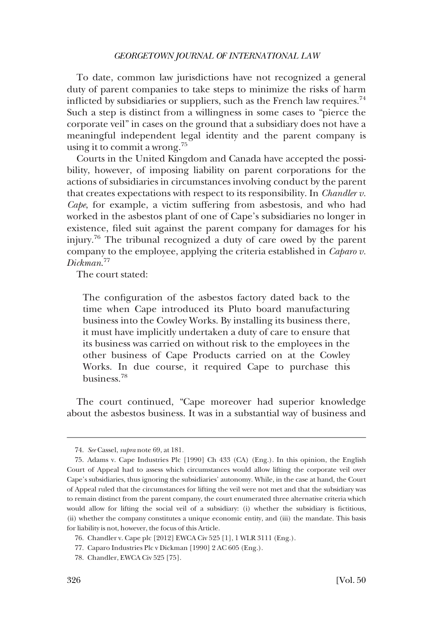To date, common law jurisdictions have not recognized a general duty of parent companies to take steps to minimize the risks of harm inflicted by subsidiaries or suppliers, such as the French law requires.<sup>74</sup> Such a step is distinct from a willingness in some cases to "pierce the corporate veil" in cases on the ground that a subsidiary does not have a meaningful independent legal identity and the parent company is using it to commit a wrong.<sup>75</sup>

Courts in the United Kingdom and Canada have accepted the possibility, however, of imposing liability on parent corporations for the actions of subsidiaries in circumstances involving conduct by the parent that creates expectations with respect to its responsibility. In *Chandler v. Cape*, for example, a victim suffering from asbestosis, and who had worked in the asbestos plant of one of Cape's subsidiaries no longer in existence, filed suit against the parent company for damages for his injury.76 The tribunal recognized a duty of care owed by the parent company to the employee, applying the criteria established in *Caparo v. Dickman*. 77

The court stated:

The configuration of the asbestos factory dated back to the time when Cape introduced its Pluto board manufacturing business into the Cowley Works. By installing its business there, it must have implicitly undertaken a duty of care to ensure that its business was carried on without risk to the employees in the other business of Cape Products carried on at the Cowley Works. In due course, it required Cape to purchase this business.<sup>78</sup>

The court continued, "Cape moreover had superior knowledge about the asbestos business. It was in a substantial way of business and

<sup>74.</sup> *See* Cassel, *supra* note 69, at 181.

<sup>75.</sup> Adams v. Cape Industries Plc [1990] Ch 433 (CA) (Eng.). In this opinion, the English Court of Appeal had to assess which circumstances would allow lifting the corporate veil over Cape's subsidiaries, thus ignoring the subsidiaries' autonomy. While, in the case at hand, the Court of Appeal ruled that the circumstances for lifting the veil were not met and that the subsidiary was to remain distinct from the parent company, the court enumerated three alternative criteria which would allow for lifting the social veil of a subsidiary: (i) whether the subsidiary is fictitious, (ii) whether the company constitutes a unique economic entity, and (iii) the mandate. This basis for liability is not, however, the focus of this Article.

<sup>76.</sup> Chandler v. Cape plc [2012] EWCA Civ 525 [1], 1 WLR 3111 (Eng.).

<sup>77.</sup> Caparo Industries Plc v Dickman [1990] 2 AC 605 (Eng.).

<sup>78.</sup> Chandler, EWCA Civ 525 [75].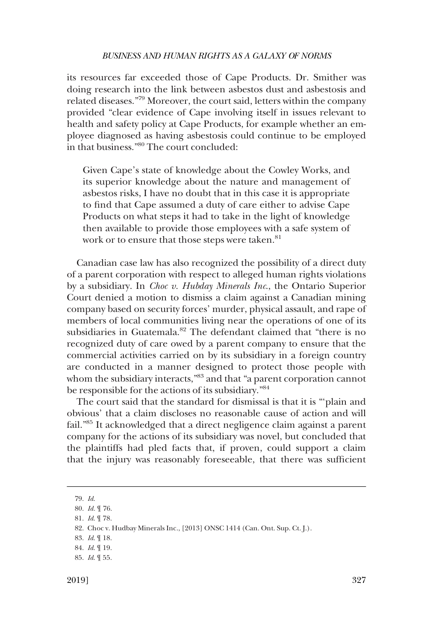its resources far exceeded those of Cape Products. Dr. Smither was doing research into the link between asbestos dust and asbestosis and related diseases."79 Moreover, the court said, letters within the company provided "clear evidence of Cape involving itself in issues relevant to health and safety policy at Cape Products, for example whether an employee diagnosed as having asbestosis could continue to be employed in that business."80 The court concluded:

Given Cape's state of knowledge about the Cowley Works, and its superior knowledge about the nature and management of asbestos risks, I have no doubt that in this case it is appropriate to find that Cape assumed a duty of care either to advise Cape Products on what steps it had to take in the light of knowledge then available to provide those employees with a safe system of work or to ensure that those steps were taken.<sup>81</sup>

Canadian case law has also recognized the possibility of a direct duty of a parent corporation with respect to alleged human rights violations by a subsidiary. In *Choc v. Hubday Minerals Inc*., the Ontario Superior Court denied a motion to dismiss a claim against a Canadian mining company based on security forces' murder, physical assault, and rape of members of local communities living near the operations of one of its subsidiaries in Guatemala.<sup>82</sup> The defendant claimed that "there is no recognized duty of care owed by a parent company to ensure that the commercial activities carried on by its subsidiary in a foreign country are conducted in a manner designed to protect those people with whom the subsidiary interacts,"83 and that "a parent corporation cannot be responsible for the actions of its subsidiary."<sup>84</sup>

The court said that the standard for dismissal is that it is "'plain and obvious' that a claim discloses no reasonable cause of action and will fail."85 It acknowledged that a direct negligence claim against a parent company for the actions of its subsidiary was novel, but concluded that the plaintiffs had pled facts that, if proven, could support a claim that the injury was reasonably foreseeable, that there was sufficient

<sup>79.</sup> *Id*.

<sup>80.</sup> *Id.* ¶ 76.

<sup>81.</sup> *Id*. ¶ 78.

<sup>82.</sup> Choc v. Hudbay Minerals Inc., [2013] ONSC 1414 (Can. Ont. Sup. Ct. J.).

<sup>83.</sup> *Id*. ¶ 18.

<sup>84.</sup> *Id*. ¶ 19.

<sup>85.</sup> *Id*. ¶ 55.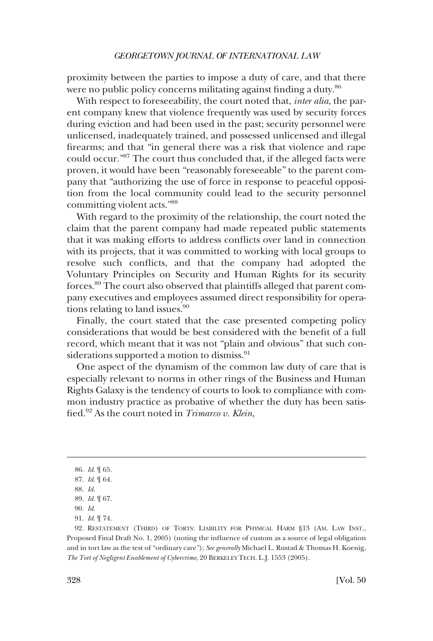proximity between the parties to impose a duty of care, and that there were no public policy concerns militating against finding a duty.<sup>86</sup>

With respect to foreseeability, the court noted that, *inter alia*, the parent company knew that violence frequently was used by security forces during eviction and had been used in the past; security personnel were unlicensed, inadequately trained, and possessed unlicensed and illegal firearms; and that "in general there was a risk that violence and rape could occur."87 The court thus concluded that, if the alleged facts were proven, it would have been "reasonably foreseeable" to the parent company that "authorizing the use of force in response to peaceful opposition from the local community could lead to the security personnel committing violent acts."88

With regard to the proximity of the relationship, the court noted the claim that the parent company had made repeated public statements that it was making efforts to address conflicts over land in connection with its projects, that it was committed to working with local groups to resolve such conflicts, and that the company had adopted the Voluntary Principles on Security and Human Rights for its security forces.89 The court also observed that plaintiffs alleged that parent company executives and employees assumed direct responsibility for operations relating to land issues.<sup>90</sup>

Finally, the court stated that the case presented competing policy considerations that would be best considered with the benefit of a full record, which meant that it was not "plain and obvious" that such considerations supported a motion to dismiss.<sup>91</sup>

One aspect of the dynamism of the common law duty of care that is especially relevant to norms in other rings of the Business and Human Rights Galaxy is the tendency of courts to look to compliance with common industry practice as probative of whether the duty has been satisfied.92 As the court noted in *Trimarco v. Klein*,

<sup>86.</sup> *Id*. ¶ 65.

<sup>87.</sup> *Id*. ¶ 64.

<sup>88.</sup> *Id*.

<sup>89.</sup> *Id*. ¶ 67.

<sup>90.</sup> *Id*.

<sup>91.</sup> *Id*. ¶ 74.

<sup>92.</sup> RESTATEMENT (THIRD) OF TORTS: LIABILITY FOR PHYSICAL HARM §13 (AM. LAW INST., Proposed Final Draft No. 1, 2005) (noting the influence of custom as a source of legal obligation and in tort law as the test of "ordinary care"); *See generally* Michael L. Rustad & Thomas H. Koenig, *The Tort of Negligent Enablement of Cybercrime*, 20 BERKELEY TECH. L.J. 1553 (2005).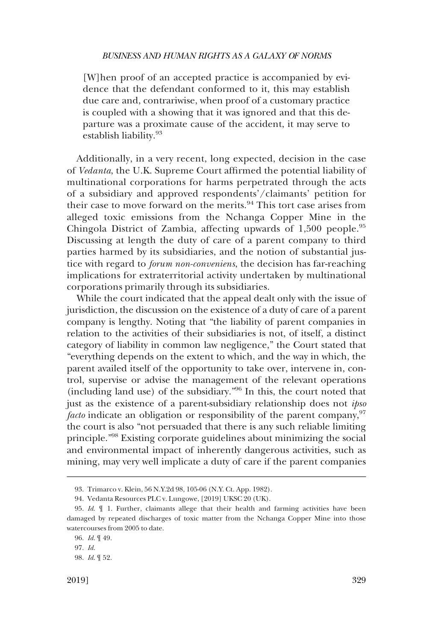[W]hen proof of an accepted practice is accompanied by evidence that the defendant conformed to it, this may establish due care and, contrariwise, when proof of a customary practice is coupled with a showing that it was ignored and that this departure was a proximate cause of the accident, it may serve to establish liability.<sup>93</sup>

Additionally, in a very recent, long expected, decision in the case of *Vedanta*, the U.K. Supreme Court affirmed the potential liability of multinational corporations for harms perpetrated through the acts of a subsidiary and approved respondents'/claimants' petition for their case to move forward on the merits.<sup>94</sup> This tort case arises from alleged toxic emissions from the Nchanga Copper Mine in the Chingola District of Zambia, affecting upwards of 1,500 people.<sup>95</sup> Discussing at length the duty of care of a parent company to third parties harmed by its subsidiaries, and the notion of substantial justice with regard to *forum non-conveniens*, the decision has far-reaching implications for extraterritorial activity undertaken by multinational corporations primarily through its subsidiaries.

While the court indicated that the appeal dealt only with the issue of jurisdiction, the discussion on the existence of a duty of care of a parent company is lengthy. Noting that "the liability of parent companies in relation to the activities of their subsidiaries is not, of itself, a distinct category of liability in common law negligence," the Court stated that "everything depends on the extent to which, and the way in which, the parent availed itself of the opportunity to take over, intervene in, control, supervise or advise the management of the relevant operations (including land use) of the subsidiary."96 In this, the court noted that just as the existence of a parent-subsidiary relationship does not *ipso facto* indicate an obligation or responsibility of the parent company,<sup>97</sup> the court is also "not persuaded that there is any such reliable limiting principle."98 Existing corporate guidelines about minimizing the social and environmental impact of inherently dangerous activities, such as mining, may very well implicate a duty of care if the parent companies

<sup>93.</sup> Trimarco v. Klein, 56 N.Y.2d 98, 105-06 (N.Y. Ct. App. 1982).

<sup>94.</sup> Vedanta Resources PLC v. Lungowe, [2019] UKSC 20 (UK).

<sup>95.</sup> *Id*. ¶ 1. Further, claimants allege that their health and farming activities have been damaged by repeated discharges of toxic matter from the Nchanga Copper Mine into those watercourses from 2005 to date.

<sup>96.</sup> *Id*. ¶ 49.

<sup>97.</sup> *Id*.

<sup>98.</sup> *Id*. ¶ 52.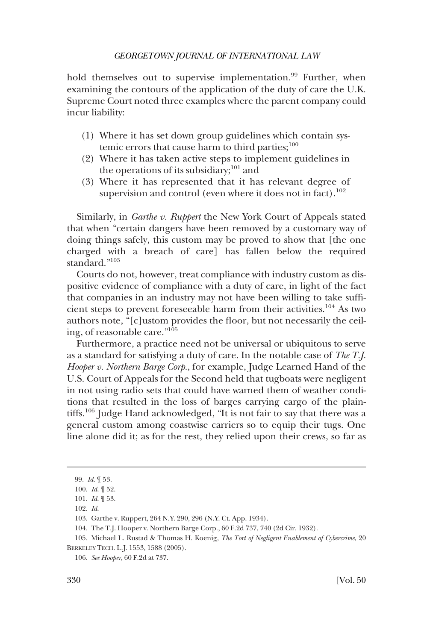hold themselves out to supervise implementation.<sup>99</sup> Further, when examining the contours of the application of the duty of care the U.K. Supreme Court noted three examples where the parent company could incur liability:

- (1) Where it has set down group guidelines which contain systemic errors that cause harm to third parties; $100$
- (2) Where it has taken active steps to implement guidelines in the operations of its subsidiary;<sup>101</sup> and
- (3) Where it has represented that it has relevant degree of supervision and control (even where it does not in fact).<sup>102</sup>

Similarly, in *Garthe v. Ruppert* the New York Court of Appeals stated that when "certain dangers have been removed by a customary way of doing things safely, this custom may be proved to show that [the one charged with a breach of care] has fallen below the required standard."103

Courts do not, however, treat compliance with industry custom as dispositive evidence of compliance with a duty of care, in light of the fact that companies in an industry may not have been willing to take sufficient steps to prevent foreseeable harm from their activities.104 As two authors note, "[c]ustom provides the floor, but not necessarily the ceiling, of reasonable care."105

Furthermore, a practice need not be universal or ubiquitous to serve as a standard for satisfying a duty of care. In the notable case of *The T.J. Hooper v. Northern Barge Corp*., for example, Judge Learned Hand of the U.S. Court of Appeals for the Second held that tugboats were negligent in not using radio sets that could have warned them of weather conditions that resulted in the loss of barges carrying cargo of the plaintiffs.<sup>106</sup> Judge Hand acknowledged, "It is not fair to say that there was a general custom among coastwise carriers so to equip their tugs. One line alone did it; as for the rest, they relied upon their crews, so far as

<sup>99.</sup> *Id*. ¶ 53.

<sup>100.</sup> *Id*. ¶ 52.

<sup>101.</sup> *Id*. ¶ 53.

<sup>102.</sup> *Id*.

<sup>103.</sup> Garthe v. Ruppert, 264 N.Y. 290, 296 (N.Y. Ct. App. 1934).

<sup>104.</sup> The T.J. Hooper v. Northern Barge Corp., 60 F.2d 737, 740 (2d Cir. 1932).

<sup>105.</sup> Michael L. Rustad & Thomas H. Koenig, *The Tort of Negligent Enablement of Cybercrime*, 20 BERKELEY TECH. L.J. 1553, 1588 (2005).

<sup>106.</sup> *See Hooper*, 60 F.2d at 737.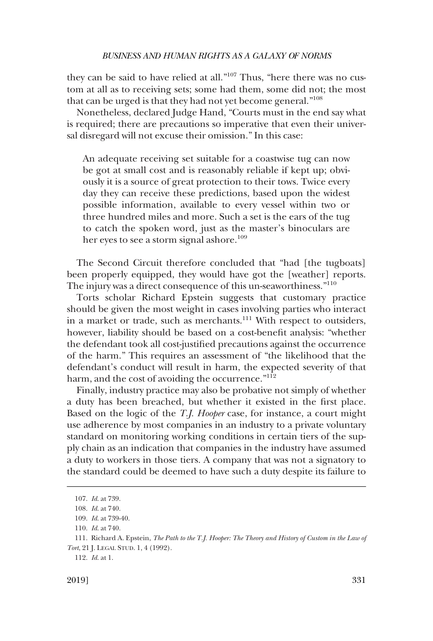they can be said to have relied at all."107 Thus, "here there was no custom at all as to receiving sets; some had them, some did not; the most that can be urged is that they had not yet become general."108

Nonetheless, declared Judge Hand, "Courts must in the end say what is required; there are precautions so imperative that even their universal disregard will not excuse their omission." In this case:

An adequate receiving set suitable for a coastwise tug can now be got at small cost and is reasonably reliable if kept up; obviously it is a source of great protection to their tows. Twice every day they can receive these predictions, based upon the widest possible information, available to every vessel within two or three hundred miles and more. Such a set is the ears of the tug to catch the spoken word, just as the master's binoculars are her eyes to see a storm signal ashore.<sup>109</sup>

The Second Circuit therefore concluded that "had [the tugboats] been properly equipped, they would have got the [weather] reports. The injury was a direct consequence of this un-seaworthiness."<sup>110</sup>

Torts scholar Richard Epstein suggests that customary practice should be given the most weight in cases involving parties who interact in a market or trade, such as merchants.<sup>111</sup> With respect to outsiders, however, liability should be based on a cost-benefit analysis: "whether the defendant took all cost-justified precautions against the occurrence of the harm." This requires an assessment of "the likelihood that the defendant's conduct will result in harm, the expected severity of that harm, and the cost of avoiding the occurrence."<sup>112</sup>

Finally, industry practice may also be probative not simply of whether a duty has been breached, but whether it existed in the first place. Based on the logic of the *T.J. Hooper* case, for instance, a court might use adherence by most companies in an industry to a private voluntary standard on monitoring working conditions in certain tiers of the supply chain as an indication that companies in the industry have assumed a duty to workers in those tiers. A company that was not a signatory to the standard could be deemed to have such a duty despite its failure to

<sup>107.</sup> *Id*. at 739.

<sup>108.</sup> *Id*. at 740.

<sup>109.</sup> *Id*. at 739-40.

<sup>110.</sup> *Id*. at 740.

<sup>111.</sup> Richard A. Epstein, *The Path to the T.J. Hooper: The Theory and History of Custom in the Law of Tort*, 21 J. LEGAL STUD. 1, 4 (1992).

<sup>112.</sup> *Id*. at 1.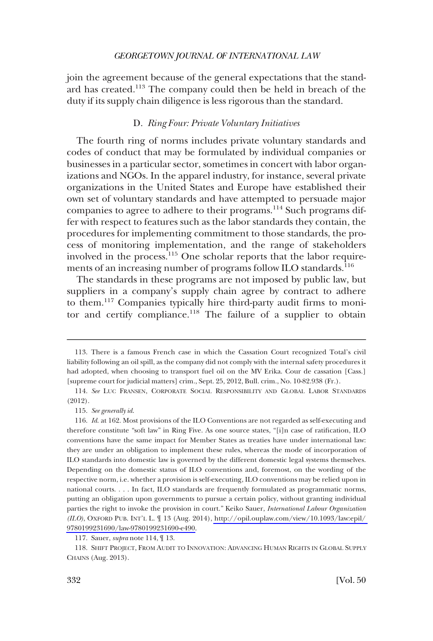<span id="page-23-0"></span>join the agreement because of the general expectations that the standard has created.113 The company could then be held in breach of the duty if its supply chain diligence is less rigorous than the standard.

### D. *Ring Four: Private Voluntary Initiatives*

The fourth ring of norms includes private voluntary standards and codes of conduct that may be formulated by individual companies or businesses in a particular sector, sometimes in concert with labor organizations and NGOs. In the apparel industry, for instance, several private organizations in the United States and Europe have established their own set of voluntary standards and have attempted to persuade major companies to agree to adhere to their programs.114 Such programs differ with respect to features such as the labor standards they contain, the procedures for implementing commitment to those standards, the process of monitoring implementation, and the range of stakeholders involved in the process.<sup>115</sup> One scholar reports that the labor requirements of an increasing number of programs follow ILO standards.<sup>116</sup>

The standards in these programs are not imposed by public law, but suppliers in a company's supply chain agree by contract to adhere to them.117 Companies typically hire third-party audit firms to monitor and certify compliance.<sup>118</sup> The failure of a supplier to obtain

<sup>113.</sup> There is a famous French case in which the Cassation Court recognized Total's civil liability following an oil spill, as the company did not comply with the internal safety procedures it had adopted, when choosing to transport fuel oil on the MV Erika. Cour de cassation [Cass.] [supreme court for judicial matters] crim., Sept. 25, 2012, Bull. crim., No. 10-82.938 (Fr.).

<sup>114.</sup> *See* LUC FRANSEN, CORPORATE SOCIAL RESPONSIBILITY AND GLOBAL LABOR STANDARDS (2012).

<sup>115.</sup> *See generally id*.

<sup>116.</sup> *Id.* at 162. Most provisions of the ILO Conventions are not regarded as self-executing and therefore constitute "soft law" in Ring Five. As one source states, "[i]n case of ratification, ILO conventions have the same impact for Member States as treaties have under international law: they are under an obligation to implement these rules, whereas the mode of incorporation of ILO standards into domestic law is governed by the different domestic legal systems themselves. Depending on the domestic status of ILO conventions and, foremost, on the wording of the respective norm, i.e. whether a provision is self-executing, ILO conventions may be relied upon in national courts. . . . In fact, ILO standards are frequently formulated as programmatic norms, putting an obligation upon governments to pursue a certain policy, without granting individual parties the right to invoke the provision in court." Keiko Sauer, *International Labour Organization (ILO)*, OXFORD PUB. INT'L L. ¶ 13 (Aug. 2014), [http://opil.ouplaw.com/view/10.1093/law:epil/](http://opil.ouplaw.com/view/10.1093/law:epil/9780199231690/law-9780199231690-e490)  [9780199231690/law-9780199231690-e490](http://opil.ouplaw.com/view/10.1093/law:epil/9780199231690/law-9780199231690-e490).

<sup>117.</sup> Sauer, *supra* note 114, ¶ 13.

<sup>118.</sup> SHIFT PROJECT, FROM AUDIT TO INNOVATION: ADVANCING HUMAN RIGHTS IN GLOBAL SUPPLY CHAINS (Aug. 2013).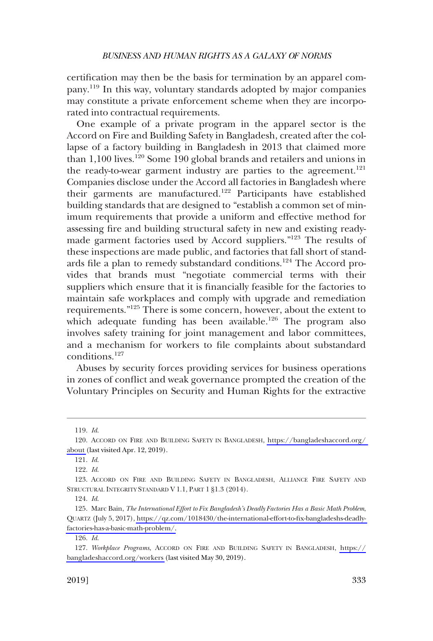certification may then be the basis for termination by an apparel company.119 In this way, voluntary standards adopted by major companies may constitute a private enforcement scheme when they are incorporated into contractual requirements.

One example of a private program in the apparel sector is the Accord on Fire and Building Safety in Bangladesh, created after the collapse of a factory building in Bangladesh in 2013 that claimed more than 1,100 lives.<sup>120</sup> Some 190 global brands and retailers and unions in the ready-to-wear garment industry are parties to the agreement.<sup>121</sup> Companies disclose under the Accord all factories in Bangladesh where their garments are manufactured.<sup>122</sup> Participants have established building standards that are designed to "establish a common set of minimum requirements that provide a uniform and effective method for assessing fire and building structural safety in new and existing readymade garment factories used by Accord suppliers."123 The results of these inspections are made public, and factories that fall short of standards file a plan to remedy substandard conditions.124 The Accord provides that brands must "negotiate commercial terms with their suppliers which ensure that it is financially feasible for the factories to maintain safe workplaces and comply with upgrade and remediation requirements."<sup>125</sup> There is some concern, however, about the extent to which adequate funding has been available.<sup>126</sup> The program also involves safety training for joint management and labor committees, and a mechanism for workers to file complaints about substandard conditions.127

Abuses by security forces providing services for business operations in zones of conflict and weak governance prompted the creation of the Voluntary Principles on Security and Human Rights for the extractive

<sup>119.</sup> *Id*.

<sup>120.</sup> ACCORD ON FIRE AND BUILDING SAFETY IN BANGLADESH, https://bangladeshaccord.org/ [about](https://bangladeshaccord.org/about) (last visited Apr. 12, 2019).

<sup>121.</sup> *Id*.

<sup>122.</sup> *Id*.

<sup>123.</sup> ACCORD ON FIRE AND BUILDING SAFETY IN BANGLADESH, ALLIANCE FIRE SAFETY AND STRUCTURAL INTEGRITY STANDARD V 1.1, PART 1 §1.3 (2014).

<sup>124.</sup> *Id*.

<sup>125.</sup> Marc Bain, *The International Effort to Fix Bangladesh's Deadly Factories Has a Basic Math Problem*, QUARTZ (July 5, 2017), [https://qz.com/1018430/the-international-effort-to-fix-bangladeshs-deadly](https://qz.com/1018430/the-international-effort-to-fix-bangladeshs-deadly-factories-has-a-basic-math-problem/)[factories-has-a-basic-math-problem/.](https://qz.com/1018430/the-international-effort-to-fix-bangladeshs-deadly-factories-has-a-basic-math-problem/)

<sup>126.</sup> *Id*.

<sup>127.</sup>  *Workplace Programs*, ACCORD ON FIRE AND BUILDING SAFETY IN BANGLADESH, [https://](https://bangladeshaccord.org/workers) [bangladeshaccord.org/workers](https://bangladeshaccord.org/workers) (last visited May 30, 2019).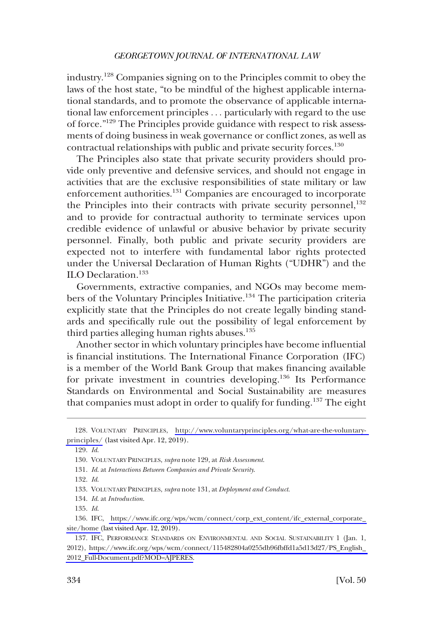industry.<sup>128</sup> Companies signing on to the Principles commit to obey the laws of the host state, "to be mindful of the highest applicable international standards, and to promote the observance of applicable international law enforcement principles . . . particularly with regard to the use of force."129 The Principles provide guidance with respect to risk assessments of doing business in weak governance or conflict zones, as well as contractual relationships with public and private security forces.130

The Principles also state that private security providers should provide only preventive and defensive services, and should not engage in activities that are the exclusive responsibilities of state military or law enforcement authorities.131 Companies are encouraged to incorporate the Principles into their contracts with private security personnel, $132$ and to provide for contractual authority to terminate services upon credible evidence of unlawful or abusive behavior by private security personnel. Finally, both public and private security providers are expected not to interfere with fundamental labor rights protected under the Universal Declaration of Human Rights ("UDHR") and the ILO Declaration.<sup>133</sup>

Governments, extractive companies, and NGOs may become members of the Voluntary Principles Initiative.<sup>134</sup> The participation criteria explicitly state that the Principles do not create legally binding standards and specifically rule out the possibility of legal enforcement by third parties alleging human rights abuses. $135$ 

Another sector in which voluntary principles have become influential is financial institutions. The International Finance Corporation (IFC) is a member of the World Bank Group that makes financing available for private investment in countries developing.<sup>136</sup> Its Performance Standards on Environmental and Social Sustainability are measures that companies must adopt in order to qualify for funding.<sup>137</sup> The eight

132. *Id*.

<sup>128.</sup> VOLUNTARY PRINCIPLES, [http://www.voluntaryprinciples.org/what-are-the-voluntary](http://www.voluntaryprinciples.org/what-are-the-voluntary-principles/)[principles/](http://www.voluntaryprinciples.org/what-are-the-voluntary-principles/) (last visited Apr. 12, 2019).

<sup>129.</sup> *Id*.

<sup>130.</sup> VOLUNTARY PRINCIPLES, *supra* note 129, at *Risk Assessment*.

<sup>131.</sup> *Id*. at *Interactions Between Companies and Private Security*.

<sup>133.</sup> VOLUNTARY PRINCIPLES, *supra* note 131, at *Deployment and Conduct*.

<sup>134.</sup> *Id*. at *Introduction*.

<sup>135.</sup> *Id*.

<sup>136.</sup> IFC, https://www.ifc.org/wps/wcm/connect/corp\_ext\_content/ifc\_external\_corporate\_ [site/home](https://www.ifc.org/wps/wcm/connect/corp_ext_content/ifc_external_corporate_site/home) (last visited Apr. 12, 2019).

<sup>137.</sup> IFC, PERFORMANCE STANDARDS ON ENVIRONMENTAL AND SOCIAL SUSTAINABILITY 1 (Jan. 1, 2012), [https://www.ifc.org/wps/wcm/connect/115482804a0255db96fbffd1a5d13d27/PS\\_English\\_](https://www.ifc.org/wps/wcm/connect/115482804a0255db96fbffd1a5d13d27/PS_English_2012_Full-Document.pdf?MOD=AJPERES)  [2012\\_Full-Document.pdf?MOD=AJPERES.](https://www.ifc.org/wps/wcm/connect/115482804a0255db96fbffd1a5d13d27/PS_English_2012_Full-Document.pdf?MOD=AJPERES)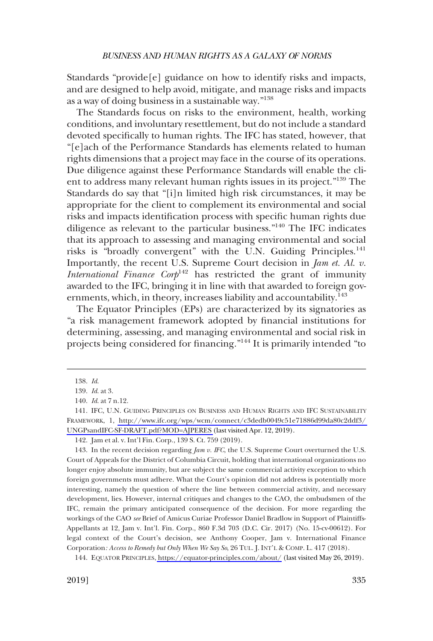Standards "provide[e] guidance on how to identify risks and impacts, and are designed to help avoid, mitigate, and manage risks and impacts as a way of doing business in a sustainable way."138

The Standards focus on risks to the environment, health, working conditions, and involuntary resettlement, but do not include a standard devoted specifically to human rights. The IFC has stated, however, that "[e]ach of the Performance Standards has elements related to human rights dimensions that a project may face in the course of its operations. Due diligence against these Performance Standards will enable the client to address many relevant human rights issues in its project."139 The Standards do say that "[i]n limited high risk circumstances, it may be appropriate for the client to complement its environmental and social risks and impacts identification process with specific human rights due diligence as relevant to the particular business."140 The IFC indicates that its approach to assessing and managing environmental and social risks is "broadly convergent" with the U.N. Guiding Principles.<sup>141</sup> Importantly, the recent U.S. Supreme Court decision in *Jam et. Al. v. International Finance Corp*<sup>142</sup> has restricted the grant of immunity awarded to the IFC, bringing it in line with that awarded to foreign governments, which, in theory, increases liability and accountability.<sup>143</sup>

The Equator Principles (EPs) are characterized by its signatories as "a risk management framework adopted by financial institutions for determining, assessing, and managing environmental and social risk in projects being considered for financing."<sup>144</sup> It is primarily intended "to

<sup>138.</sup> *Id*.

<sup>139.</sup> *Id*. at 3.

<sup>140.</sup> *Id*. at 7 n.12.

<sup>141.</sup> IFC, U.N. GUIDING PRINCIPLES ON BUSINESS AND HUMAN RIGHTS AND IFC SUSTAINABILITY FRAMEWORK, 1, [http://www.ifc.org/wps/wcm/connect/c3dedb0049c51e71886d99da80c2ddf3/](https://www.ifc.org/wps/wcm/connect/c3dedb0049c51e71886d99da80c2ddf3/UNGPsandIFC-SF-DRAFT.pdf?MOD=AJPERES)  [UNGPsandIFC-SF-DRAFT.pdf?MOD=AJPERES](https://www.ifc.org/wps/wcm/connect/c3dedb0049c51e71886d99da80c2ddf3/UNGPsandIFC-SF-DRAFT.pdf?MOD=AJPERES) (last visited Apr. 12, 2019).

<sup>142.</sup> Jam et al. v. Int'l Fin. Corp., 139 S. Ct. 759 (2019).

<sup>143.</sup> In the recent decision regarding *Jam v. IFC*, the U.S. Supreme Court overturned the U.S. Court of Appeals for the District of Columbia Circuit, holding that international organizations no longer enjoy absolute immunity, but are subject the same commercial activity exception to which foreign governments must adhere. What the Court's opinion did not address is potentially more interesting, namely the question of where the line between commercial activity, and necessary development, lies. However, internal critiques and changes to the CAO, the ombudsmen of the IFC, remain the primary anticipated consequence of the decision. For more regarding the workings of the CAO *see* Brief of Amicus Curiae Professor Daniel Bradlow in Support of Plaintiffs-Appellants at 12, Jam v. Int'l. Fin. Corp., 860 F.3d 703 (D.C. Cir. 2017) (No. 15-cv-00612). For legal context of the Court's decision, see Anthony Cooper, Jam v. International Finance Corporation*: Access to Remedy but Only When We Say So*, 26 TUL. J. INT'L & COMP. L. 417 (2018).

EQUATOR PRINCIPLES,<https://equator-principles.com/about/> (last visited May 26, 2019). 144.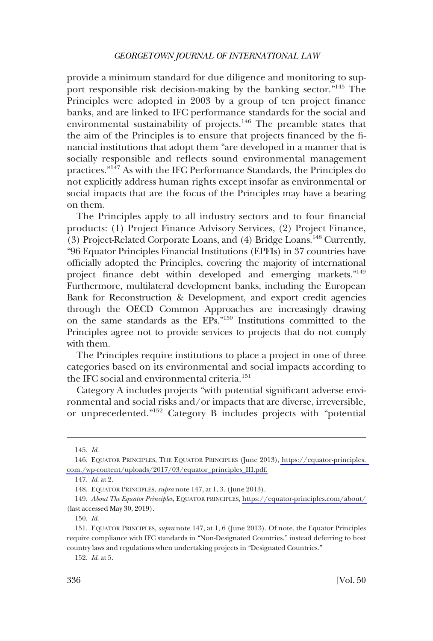provide a minimum standard for due diligence and monitoring to support responsible risk decision-making by the banking sector."145 The Principles were adopted in 2003 by a group of ten project finance banks, and are linked to IFC performance standards for the social and environmental sustainability of projects.<sup>146</sup> The preamble states that the aim of the Principles is to ensure that projects financed by the financial institutions that adopt them "are developed in a manner that is socially responsible and reflects sound environmental management practices."147 As with the IFC Performance Standards, the Principles do not explicitly address human rights except insofar as environmental or social impacts that are the focus of the Principles may have a bearing on them.

The Principles apply to all industry sectors and to four financial products: (1) Project Finance Advisory Services, (2) Project Finance, (3) Project-Related Corporate Loans, and (4) Bridge Loans.148 Currently, "96 Equator Principles Financial Institutions (EPFIs) in 37 countries have officially adopted the Principles, covering the majority of international project finance debt within developed and emerging markets."149 Furthermore, multilateral development banks, including the European Bank for Reconstruction & Development, and export credit agencies through the OECD Common Approaches are increasingly drawing on the same standards as the EPs."150 Institutions committed to the Principles agree not to provide services to projects that do not comply with them.

The Principles require institutions to place a project in one of three categories based on its environmental and social impacts according to the IFC social and environmental criteria.<sup>151</sup>

Category A includes projects "with potential significant adverse environmental and social risks and/or impacts that are diverse, irreversible, or unprecedented."152 Category B includes projects with "potential

152. *Id*. at 5.

<sup>145.</sup> *Id*.

EQUATOR PRINCIPLES, THE EQUATOR PRINCIPLES (June 2013), [https://equator-principles.](https://equator-principles.com./wp-content/uploads/2017/03/equator_principles_III.pdf)  146. [com./wp-content/uploads/2017/03/equator\\_principles\\_III.pdf.](https://equator-principles.com./wp-content/uploads/2017/03/equator_principles_III.pdf)

<sup>147.</sup> *Id*. at 2.

<sup>148.</sup> EQUATOR PRINCIPLES, *supra* note 147, at 1, 3. (June 2013).

*About The Equator Principles*, EQUATOR PRINCIPLES,<https://equator-principles.com/about/> 149. (last accessed May 30, 2019).

<sup>150.</sup> *Id*.

<sup>151.</sup> EQUATOR PRINCIPLES, *supra* note 147, at 1, 6 (June 2013). Of note, the Equator Principles require compliance with IFC standards in "Non-Designated Countries," instead deferring to host country laws and regulations when undertaking projects in "Designated Countries."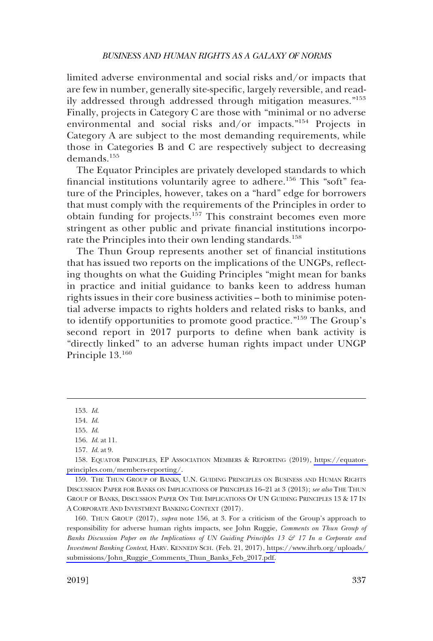limited adverse environmental and social risks and/or impacts that are few in number, generally site-specific, largely reversible, and readily addressed through addressed through mitigation measures."<sup>153</sup> Finally, projects in Category C are those with "minimal or no adverse environmental and social risks and/or impacts."154 Projects in Category A are subject to the most demanding requirements, while those in Categories B and C are respectively subject to decreasing demands<sup>155</sup>

The Equator Principles are privately developed standards to which financial institutions voluntarily agree to adhere.<sup>156</sup> This "soft" feature of the Principles, however, takes on a "hard" edge for borrowers that must comply with the requirements of the Principles in order to obtain funding for projects.157 This constraint becomes even more stringent as other public and private financial institutions incorporate the Principles into their own lending standards.<sup>158</sup>

The Thun Group represents another set of financial institutions that has issued two reports on the implications of the UNGPs, reflecting thoughts on what the Guiding Principles "might mean for banks in practice and initial guidance to banks keen to address human rights issues in their core business activities – both to minimise potential adverse impacts to rights holders and related risks to banks, and to identify opportunities to promote good practice."159 The Group's second report in 2017 purports to define when bank activity is "directly linked" to an adverse human rights impact under UNGP Principle 13.<sup>160</sup>

159. THE THUN GROUP OF BANKS, U.N. GUIDING PRINCIPLES ON BUSINESS AND HUMAN RIGHTS DISCUSSION PAPER FOR BANKS ON IMPLICATIONS OF PRINCIPLES 16–21 at 3 (2013); *see also* THE THUN GROUP OF BANKS, DISCUSSION PAPER ON THE IMPLICATIONS OF UN GUIDING PRINCIPLES 13 & 17 IN A CORPORATE AND INVESTMENT BANKING CONTEXT (2017).

160. THUN GROUP (2017), *supra* note 156, at 3. For a criticism of the Group's approach to responsibility for adverse human rights impacts, see John Ruggie, *Comments on Thun Group of Banks Discussion Paper on the Implications of UN Guiding Principles 13 & 17 In a Corporate and Investment Banking Context*, HARV. KENNEDY SCH. (Feb. 21, 2017), [https://www.ihrb.org/uploads/](https://www.ihrb.org/uploads/submissions/John_Ruggie_Comments_Thun_Banks_Feb_2017.pdf)  [submissions/John\\_Ruggie\\_Comments\\_Thun\\_Banks\\_Feb\\_2017.pdf.](https://www.ihrb.org/uploads/submissions/John_Ruggie_Comments_Thun_Banks_Feb_2017.pdf)

<sup>153.</sup> *Id*.

<sup>154.</sup> *Id*.

<sup>155.</sup> *Id*.

<sup>156.</sup> *Id*. at 11.

<sup>157.</sup> *Id*. at 9.

EQUATOR PRINCIPLES, EP ASSOCIATION MEMBERS & REPORTING (2019), [https://equator-](https://equator-principles.com/members-reporting/)158. [principles.com/members-reporting/](https://equator-principles.com/members-reporting/).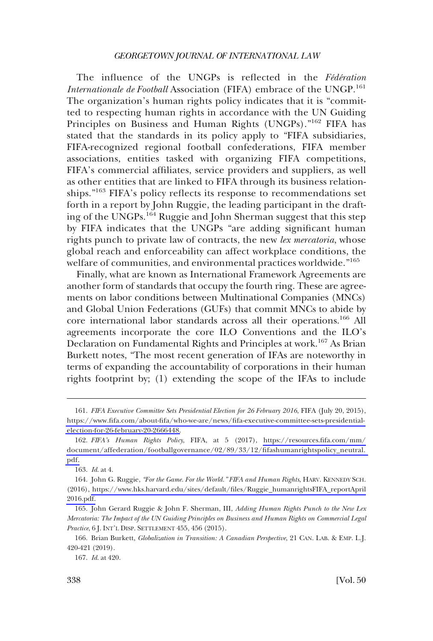The influence of the UNGPs is reflected in the *Fédération Internationale de Football* Association (FIFA) embrace of the UNGP.<sup>161</sup> The organization's human rights policy indicates that it is "committed to respecting human rights in accordance with the UN Guiding Principles on Business and Human Rights (UNGPs)."<sup>162</sup> FIFA has stated that the standards in its policy apply to "FIFA subsidiaries, FIFA-recognized regional football confederations, FIFA member associations, entities tasked with organizing FIFA competitions, FIFA's commercial affiliates, service providers and suppliers, as well as other entities that are linked to FIFA through its business relationships."163 FIFA's policy reflects its response to recommendations set forth in a report by John Ruggie, the leading participant in the drafting of the UNGPs.<sup>164</sup> Ruggie and John Sherman suggest that this step by FIFA indicates that the UNGPs "are adding significant human rights punch to private law of contracts, the new *lex mercatoria*, whose global reach and enforceability can affect workplace conditions, the welfare of communities, and environmental practices worldwide."<sup>165</sup>

Finally, what are known as International Framework Agreements are another form of standards that occupy the fourth ring. These are agreements on labor conditions between Multinational Companies (MNCs) and Global Union Federations (GUFs) that commit MNCs to abide by core international labor standards across all their operations.166 All agreements incorporate the core ILO Conventions and the ILO's Declaration on Fundamental Rights and Principles at work.167 As Brian Burkett notes, "The most recent generation of IFAs are noteworthy in terms of expanding the accountability of corporations in their human rights footprint by; (1) extending the scope of the IFAs to include

*FIFA Executive Committee Sets Presidential Election for 26 February 2016*, FIFA (July 20, 2015), 161. [https://www.fifa.com/about-fifa/who-we-are/news/fifa-executive-committee-sets-presidential](https://www.fifa.com/about-fifa/who-we-are/news/fifa-executive-committee-sets-presidential-election-for-26-february-20-2666448)[election-for-26-february-20-2666448.](https://www.fifa.com/about-fifa/who-we-are/news/fifa-executive-committee-sets-presidential-election-for-26-february-20-2666448)

*FIFA's Human Rights Policy*, FIFA, at 5 (2017), [https://resources.fifa.com/mm/](https://resources.fifa.com/mm/document/affederation/footballgovernance/02/89/33/12/fifashumanrightspolicy_neutral.pdf)  162. [document/affederation/footballgovernance/02/89/33/12/fifashumanrightspolicy\\_neutral.](https://resources.fifa.com/mm/document/affederation/footballgovernance/02/89/33/12/fifashumanrightspolicy_neutral.pdf)  [pdf.](https://resources.fifa.com/mm/document/affederation/footballgovernance/02/89/33/12/fifashumanrightspolicy_neutral.pdf)

<sup>163.</sup> *Id*. at 4.

John G. Ruggie, *"For the Game. For the World." FIFA and Human Rights*, HARV. KENNEDY SCH. 164. (2016), [https://www.hks.harvard.edu/sites/default/files/Ruggie\\_humanrightsFIFA\\_reportApril](https://www.hks.harvard.edu/sites/default/files/Ruggie_humanrightsFIFA_reportApril2016.pdf) [2016.pdf.](https://www.hks.harvard.edu/sites/default/files/Ruggie_humanrightsFIFA_reportApril2016.pdf)

<sup>165.</sup> John Gerard Ruggie & John F. Sherman, III, *Adding Human Rights Punch to the New Lex Mercatoria: The Impact of the UN Guiding Principles on Business and Human Rights on Commercial Legal Practice*, 6 J. INT'L DISP. SETTLEMENT 455, 456 (2015).

<sup>166.</sup> Brian Burkett, *Globalization in Transition: A Canadian Perspective*, 21 CAN. LAB. & EMP. L.J. 420-421 (2019).

<sup>167.</sup> *Id*. at 420.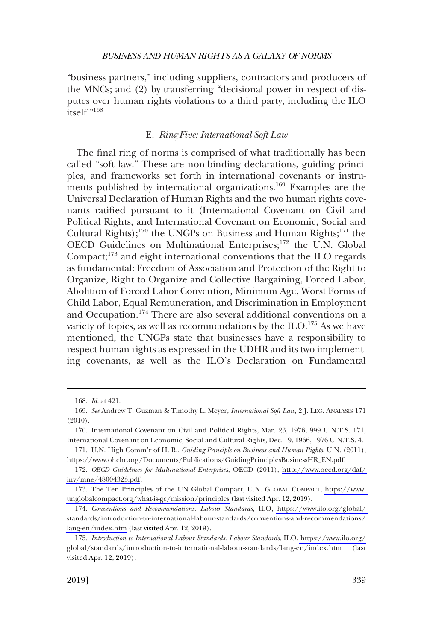<span id="page-30-0"></span>"business partners," including suppliers, contractors and producers of the MNCs; and (2) by transferring "decisional power in respect of disputes over human rights violations to a third party, including the ILO itself."168

### E. *Ring Five: International Soft Law*

The final ring of norms is comprised of what traditionally has been called "soft law." These are non-binding declarations, guiding principles, and frameworks set forth in international covenants or instruments published by international organizations.<sup>169</sup> Examples are the Universal Declaration of Human Rights and the two human rights covenants ratified pursuant to it (International Covenant on Civil and Political Rights, and International Covenant on Economic, Social and Cultural Rights);<sup>170</sup> the UNGPs on Business and Human Rights;<sup>171</sup> the OECD Guidelines on Multinational Enterprises;<sup>172</sup> the U.N. Global Compact; $173$  and eight international conventions that the ILO regards as fundamental: Freedom of Association and Protection of the Right to Organize, Right to Organize and Collective Bargaining, Forced Labor, Abolition of Forced Labor Convention, Minimum Age, Worst Forms of Child Labor, Equal Remuneration, and Discrimination in Employment and Occupation.<sup>174</sup> There are also several additional conventions on a variety of topics, as well as recommendations by the  $\rm ILO$ .<sup>175</sup> As we have mentioned, the UNGPs state that businesses have a responsibility to respect human rights as expressed in the UDHR and its two implementing covenants, as well as the ILO's Declaration on Fundamental

<sup>168.</sup> *Id*. at 421.

<sup>169.</sup> *See* Andrew T. Guzman & Timothy L. Meyer, *International Soft Law*, 2 J. LEG. ANALYSIS 171 (2010).

<sup>170.</sup> International Covenant on Civil and Political Rights, Mar. 23, 1976, 999 U.N.T.S. 171; International Covenant on Economic, Social and Cultural Rights, Dec. 19, 1966, 1976 U.N.T.S. 4.

U.N. High Comm'r of H. R., *Guiding Principle on Business and Human Rights*, U.N. (2011), 171. [https://www.ohchr.org/Documents/Publications/GuidingPrinciplesBusinessHR\\_EN.pdf.](https://www.ohchr.org/Documents/Publications/GuidingPrinciplesBusinessHR_EN.pdf)

*OECD Guidelines for Multinational Enterprises*, OECD (2011), [http://www.oecd.org/daf/](http://www.oecd.org/daf/inv/mne/48004323.pdf)  172. [inv/mne/48004323.pdf](http://www.oecd.org/daf/inv/mne/48004323.pdf).

<sup>173.</sup> The Ten Principles of the UN Global Compact, U.N. GLOBAL COMPACT, https://www. [unglobalcompact.org/what-is-gc/mission/principles](https://www.unglobalcompact.org/what-is-gc/mission/principles) (last visited Apr. 12, 2019).

*Conventions and Recommendations*. *Labour Standards*, ILO, [https://www.ilo.org/global/](https://www.ilo.org/global/standards/introduction-to-international-labour-standards/conventions-and-recommendations/lang-en/index.htm)  174. [standards/introduction-to-international-labour-standards/conventions-and-recommendations/](https://www.ilo.org/global/standards/introduction-to-international-labour-standards/conventions-and-recommendations/lang-en/index.htm)  [lang-en/index.htm](https://www.ilo.org/global/standards/introduction-to-international-labour-standards/conventions-and-recommendations/lang-en/index.htm) (last visited Apr. 12, 2019).

*Introduction to International Labour Standards*. *Labour Standards*, ILO, [https://www.ilo.org/](https://www.ilo.org/global/standards/introduction-to-international-labour-standards/lang-en/index.htm)  175. [global/standards/introduction-to-international-labour-standards/lang-en/index.htm](https://www.ilo.org/global/standards/introduction-to-international-labour-standards/lang-en/index.htm) (last visited Apr. 12, 2019).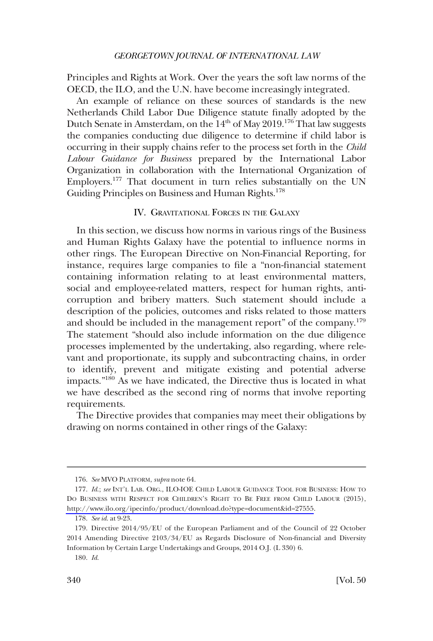<span id="page-31-0"></span>Principles and Rights at Work. Over the years the soft law norms of the OECD, the ILO, and the U.N. have become increasingly integrated.

An example of reliance on these sources of standards is the new Netherlands Child Labor Due Diligence statute finally adopted by the Dutch Senate in Amsterdam, on the 14<sup>th</sup> of May 2019.<sup>176</sup> That law suggests the companies conducting due diligence to determine if child labor is occurring in their supply chains refer to the process set forth in the *Child Labour Guidance for Business* prepared by the International Labor Organization in collaboration with the International Organization of Employers.<sup>177</sup> That document in turn relies substantially on the UN Guiding Principles on Business and Human Rights.<sup>178</sup>

### IV. GRAVITATIONAL FORCES IN THE GALAXY

In this section, we discuss how norms in various rings of the Business and Human Rights Galaxy have the potential to influence norms in other rings. The European Directive on Non-Financial Reporting, for instance, requires large companies to file a "non-financial statement containing information relating to at least environmental matters, social and employee-related matters, respect for human rights, anticorruption and bribery matters. Such statement should include a description of the policies, outcomes and risks related to those matters and should be included in the management report" of the company.<sup>179</sup> The statement "should also include information on the due diligence processes implemented by the undertaking, also regarding, where relevant and proportionate, its supply and subcontracting chains, in order to identify, prevent and mitigate existing and potential adverse impacts."180 As we have indicated, the Directive thus is located in what we have described as the second ring of norms that involve reporting requirements.

The Directive provides that companies may meet their obligations by drawing on norms contained in other rings of the Galaxy:

<sup>176.</sup> *See* MVO PLATFORM, *supra* note 64.

<sup>177.</sup> Id.; see INT'L LAB. ORG., ILO-IOE CHILD LABOUR GUIDANCE TOOL FOR BUSINESS: HOW TO DO BUSINESS WITH RESPECT FOR CHILDREN'S RIGHT TO BE FREE FROM CHILD LABOUR (2015), <http://www.ilo.org/ipecinfo/product/download.do?type=document&id=27555>.

<sup>178.</sup> *See id*. at 9-23.

<sup>179.</sup> Directive 2014/95/EU of the European Parliament and of the Council of 22 October 2014 Amending Directive 2103/34/EU as Regards Disclosure of Non-financial and Diversity Information by Certain Large Undertakings and Groups, 2014 O.J. (L 330) 6.

<sup>180.</sup> *Id*.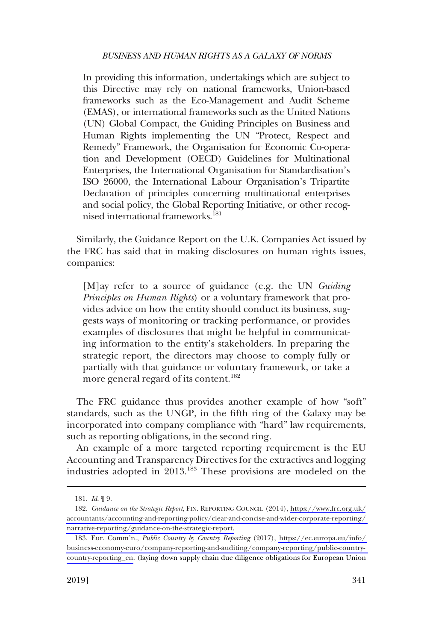In providing this information, undertakings which are subject to this Directive may rely on national frameworks, Union-based frameworks such as the Eco-Management and Audit Scheme (EMAS), or international frameworks such as the United Nations (UN) Global Compact, the Guiding Principles on Business and Human Rights implementing the UN "Protect, Respect and Remedy" Framework, the Organisation for Economic Co-operation and Development (OECD) Guidelines for Multinational Enterprises, the International Organisation for Standardisation's ISO 26000, the International Labour Organisation's Tripartite Declaration of principles concerning multinational enterprises and social policy, the Global Reporting Initiative, or other recognised international frameworks.181

Similarly, the Guidance Report on the U.K. Companies Act issued by the FRC has said that in making disclosures on human rights issues, companies:

[M]ay refer to a source of guidance (e.g. the UN *Guiding Principles on Human Rights*) or a voluntary framework that provides advice on how the entity should conduct its business, suggests ways of monitoring or tracking performance, or provides examples of disclosures that might be helpful in communicating information to the entity's stakeholders. In preparing the strategic report, the directors may choose to comply fully or partially with that guidance or voluntary framework, or take a more general regard of its content.<sup>182</sup>

The FRC guidance thus provides another example of how "soft" standards, such as the UNGP, in the fifth ring of the Galaxy may be incorporated into company compliance with "hard" law requirements, such as reporting obligations, in the second ring.

An example of a more targeted reporting requirement is the EU Accounting and Transparency Directives for the extractives and logging industries adopted in 2013.183 These provisions are modeled on the

<sup>181.</sup> *Id*. ¶ 9.

*Guidance on the Strategic Report*, FIN. REPORTING COUNCIL (2014), [https://www.frc.org.uk/](https://www.frc.org.uk/accountants/accounting-and-reporting-policy/clear-and-concise-and-wider-corporate-reporting/narrative-reporting/guidance-on-the-strategic-report) 182. [accountants/accounting-and-reporting-policy/clear-and-concise-and-wider-corporate-reporting/](https://www.frc.org.uk/accountants/accounting-and-reporting-policy/clear-and-concise-and-wider-corporate-reporting/narrative-reporting/guidance-on-the-strategic-report)  [narrative-reporting/guidance-on-the-strategic-report.](https://www.frc.org.uk/accountants/accounting-and-reporting-policy/clear-and-concise-and-wider-corporate-reporting/narrative-reporting/guidance-on-the-strategic-report)

Eur. Comm'n., *Public Country by Country Reporting* (2017), [https://ec.europa.eu/info/](https://ec.europa.eu/info/business-economy-euro/company-reporting-and-auditing/company-reporting/public-country-country-reporting_en)  183. [business-economy-euro/company-reporting-and-auditing/company-reporting/public-country](https://ec.europa.eu/info/business-economy-euro/company-reporting-and-auditing/company-reporting/public-country-country-reporting_en)[country-reporting\\_en.](https://ec.europa.eu/info/business-economy-euro/company-reporting-and-auditing/company-reporting/public-country-country-reporting_en) (laying down supply chain due diligence obligations for European Union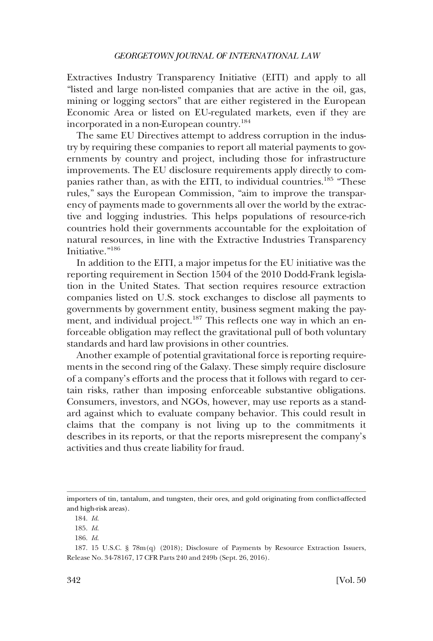Extractives Industry Transparency Initiative (EITI) and apply to all "listed and large non-listed companies that are active in the oil, gas, mining or logging sectors" that are either registered in the European Economic Area or listed on EU-regulated markets, even if they are incorporated in a non-European country.<sup>184</sup>

The same EU Directives attempt to address corruption in the industry by requiring these companies to report all material payments to governments by country and project, including those for infrastructure improvements. The EU disclosure requirements apply directly to companies rather than, as with the EITI, to individual countries.<sup>185</sup> "These rules," says the European Commission, "aim to improve the transparency of payments made to governments all over the world by the extractive and logging industries. This helps populations of resource-rich countries hold their governments accountable for the exploitation of natural resources, in line with the Extractive Industries Transparency Initiative."186

In addition to the EITI, a major impetus for the EU initiative was the reporting requirement in Section 1504 of the 2010 Dodd-Frank legislation in the United States. That section requires resource extraction companies listed on U.S. stock exchanges to disclose all payments to governments by government entity, business segment making the payment, and individual project.<sup>187</sup> This reflects one way in which an enforceable obligation may reflect the gravitational pull of both voluntary standards and hard law provisions in other countries.

Another example of potential gravitational force is reporting requirements in the second ring of the Galaxy. These simply require disclosure of a company's efforts and the process that it follows with regard to certain risks, rather than imposing enforceable substantive obligations. Consumers, investors, and NGOs, however, may use reports as a standard against which to evaluate company behavior. This could result in claims that the company is not living up to the commitments it describes in its reports, or that the reports misrepresent the company's activities and thus create liability for fraud.

importers of tin, tantalum, and tungsten, their ores, and gold originating from conflict-affected and high-risk areas).

<sup>184.</sup> *Id*.

<sup>185.</sup> *Id*.

<sup>186.</sup> *Id*.

<sup>187. 15</sup> U.S.C. § 78m(q) (2018); Disclosure of Payments by Resource Extraction Issuers, Release No. 34-78167, 17 CFR Parts 240 and 249b (Sept. 26, 2016).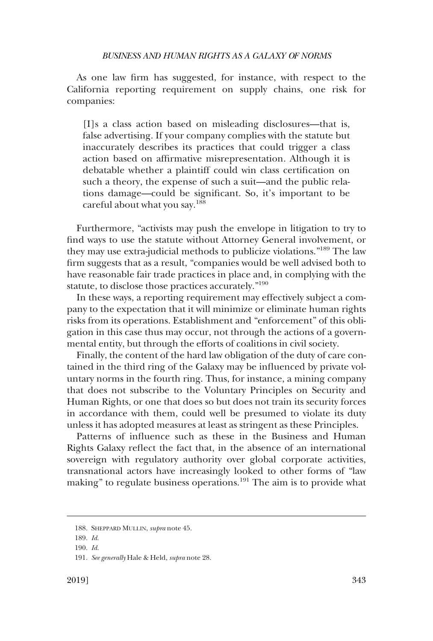As one law firm has suggested, for instance, with respect to the California reporting requirement on supply chains, one risk for companies:

[I]s a class action based on misleading disclosures—that is, false advertising. If your company complies with the statute but inaccurately describes its practices that could trigger a class action based on affirmative misrepresentation. Although it is debatable whether a plaintiff could win class certification on such a theory, the expense of such a suit—and the public relations damage—could be significant. So, it's important to be careful about what you say.<sup>188</sup>

Furthermore, "activists may push the envelope in litigation to try to find ways to use the statute without Attorney General involvement, or they may use extra-judicial methods to publicize violations."189 The law firm suggests that as a result, "companies would be well advised both to have reasonable fair trade practices in place and, in complying with the statute, to disclose those practices accurately."190

In these ways, a reporting requirement may effectively subject a company to the expectation that it will minimize or eliminate human rights risks from its operations. Establishment and "enforcement" of this obligation in this case thus may occur, not through the actions of a governmental entity, but through the efforts of coalitions in civil society.

Finally, the content of the hard law obligation of the duty of care contained in the third ring of the Galaxy may be influenced by private voluntary norms in the fourth ring. Thus, for instance, a mining company that does not subscribe to the Voluntary Principles on Security and Human Rights, or one that does so but does not train its security forces in accordance with them, could well be presumed to violate its duty unless it has adopted measures at least as stringent as these Principles.

Patterns of influence such as these in the Business and Human Rights Galaxy reflect the fact that, in the absence of an international sovereign with regulatory authority over global corporate activities, transnational actors have increasingly looked to other forms of "law making" to regulate business operations.<sup>191</sup> The aim is to provide what

<sup>188.</sup> SHEPPARD MULLIN, *supra* note 45.

<sup>189.</sup> *Id*.

<sup>190.</sup> *Id*.

<sup>191.</sup> *See generally* Hale & Held, *supra* note 28.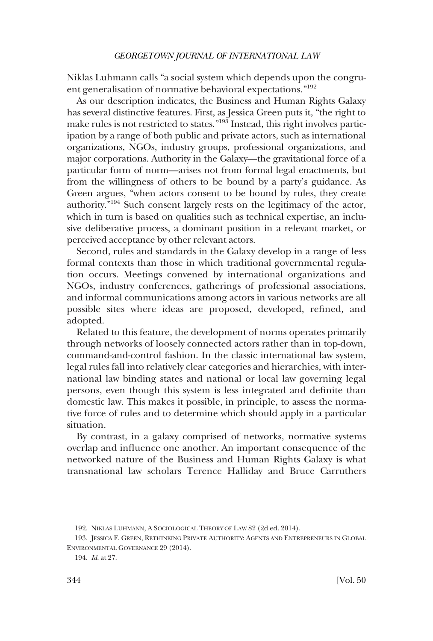Niklas Luhmann calls "a social system which depends upon the congruent generalisation of normative behavioral expectations."<sup>192</sup>

As our description indicates, the Business and Human Rights Galaxy has several distinctive features. First, as Jessica Green puts it, "the right to make rules is not restricted to states."193 Instead, this right involves participation by a range of both public and private actors, such as international organizations, NGOs, industry groups, professional organizations, and major corporations. Authority in the Galaxy—the gravitational force of a particular form of norm—arises not from formal legal enactments, but from the willingness of others to be bound by a party's guidance. As Green argues, "when actors consent to be bound by rules, they create authority."194 Such consent largely rests on the legitimacy of the actor, which in turn is based on qualities such as technical expertise, an inclusive deliberative process, a dominant position in a relevant market, or perceived acceptance by other relevant actors.

Second, rules and standards in the Galaxy develop in a range of less formal contexts than those in which traditional governmental regulation occurs. Meetings convened by international organizations and NGOs, industry conferences, gatherings of professional associations, and informal communications among actors in various networks are all possible sites where ideas are proposed, developed, refined, and adopted.

Related to this feature, the development of norms operates primarily through networks of loosely connected actors rather than in top-down, command-and-control fashion. In the classic international law system, legal rules fall into relatively clear categories and hierarchies, with international law binding states and national or local law governing legal persons, even though this system is less integrated and definite than domestic law. This makes it possible, in principle, to assess the normative force of rules and to determine which should apply in a particular situation.

By contrast, in a galaxy comprised of networks, normative systems overlap and influence one another. An important consequence of the networked nature of the Business and Human Rights Galaxy is what transnational law scholars Terence Halliday and Bruce Carruthers

<sup>192.</sup> NIKLAS LUHMANN, A SOCIOLOGICAL THEORY OF LAW 82 (2d ed. 2014).

<sup>193.</sup> JESSICA F. GREEN, RETHINKING PRIVATE AUTHORITY: AGENTS AND ENTREPRENEURS IN GLOBAL ENVIRONMENTAL GOVERNANCE 29 (2014).

<sup>194.</sup> *Id*. at 27.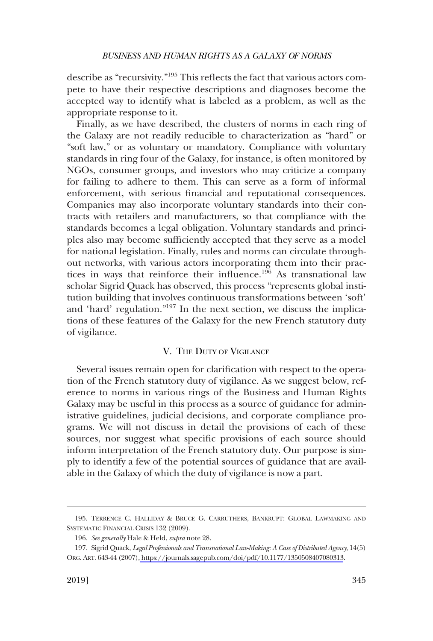<span id="page-36-0"></span>describe as "recursivity."195 This reflects the fact that various actors compete to have their respective descriptions and diagnoses become the accepted way to identify what is labeled as a problem, as well as the appropriate response to it.

Finally, as we have described, the clusters of norms in each ring of the Galaxy are not readily reducible to characterization as "hard" or "soft law," or as voluntary or mandatory. Compliance with voluntary standards in ring four of the Galaxy, for instance, is often monitored by NGOs, consumer groups, and investors who may criticize a company for failing to adhere to them. This can serve as a form of informal enforcement, with serious financial and reputational consequences. Companies may also incorporate voluntary standards into their contracts with retailers and manufacturers, so that compliance with the standards becomes a legal obligation. Voluntary standards and principles also may become sufficiently accepted that they serve as a model for national legislation. Finally, rules and norms can circulate throughout networks, with various actors incorporating them into their practices in ways that reinforce their influence.<sup>196</sup> As transnational law scholar Sigrid Quack has observed, this process "represents global institution building that involves continuous transformations between 'soft' and 'hard' regulation."<sup>197</sup> In the next section, we discuss the implications of these features of the Galaxy for the new French statutory duty of vigilance.

### V. THE DUTY OF VIGILANCE

Several issues remain open for clarification with respect to the operation of the French statutory duty of vigilance. As we suggest below, reference to norms in various rings of the Business and Human Rights Galaxy may be useful in this process as a source of guidance for administrative guidelines, judicial decisions, and corporate compliance programs. We will not discuss in detail the provisions of each of these sources, nor suggest what specific provisions of each source should inform interpretation of the French statutory duty. Our purpose is simply to identify a few of the potential sources of guidance that are available in the Galaxy of which the duty of vigilance is now a part.

<sup>195.</sup> TERRENCE C. HALLIDAY & BRUCE G. CARRUTHERS, BANKRUPT: GLOBAL LAWMAKING AND SYSTEMATIC FINANCIAL CRISIS 132 (2009).

<sup>196.</sup> *See generally* Hale & Held, *supra* note 28.

<sup>197.</sup> Sigrid Quack, *Legal Professionals and Transnational Law-Making: A Case of Distributed Agency*, 14(5) ORG. ART. 643-44 (2007)[, https://journals.sagepub.com/doi/pdf/10.1177/1350508407080313](https://journals.sagepub.com/doi/pdf/10.1177/1350508407080313).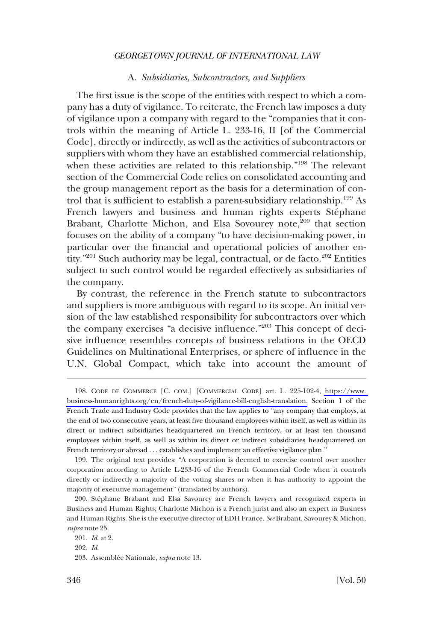### A. *Subsidiaries, Subcontractors, and Suppliers*

<span id="page-37-0"></span>The first issue is the scope of the entities with respect to which a company has a duty of vigilance. To reiterate, the French law imposes a duty of vigilance upon a company with regard to the "companies that it controls within the meaning of Article L. 233-16, II [of the Commercial Code], directly or indirectly, as well as the activities of subcontractors or suppliers with whom they have an established commercial relationship, when these activities are related to this relationship."198 The relevant section of the Commercial Code relies on consolidated accounting and the group management report as the basis for a determination of control that is sufficient to establish a parent-subsidiary relationship.<sup>199</sup> As French lawyers and business and human rights experts Stéphane Brabant, Charlotte Michon, and Elsa Sovourey note,<sup>200</sup> that section focuses on the ability of a company "to have decision-making power, in particular over the financial and operational policies of another entity."<sup>201</sup> Such authority may be legal, contractual, or de facto.<sup>202</sup> Entities subject to such control would be regarded effectively as subsidiaries of the company.

By contrast, the reference in the French statute to subcontractors and suppliers is more ambiguous with regard to its scope. An initial version of the law established responsibility for subcontractors over which the company exercises "a decisive influence."203 This concept of decisive influence resembles concepts of business relations in the OECD Guidelines on Multinational Enterprises, or sphere of influence in the U.N. Global Compact, which take into account the amount of

<sup>198.</sup> CODE DE COMMERCE [C. COM.] [COMMERCIAL CODE] art. L. 225-102-4, https://www. [business-humanrights.org/en/french-duty-of-vigilance-bill-english-translation.](https://www.business-humanrights.org/en/french-duty-of-vigilance-bill-english-translation) Section 1 of the French Trade and Industry Code provides that the law applies to "any company that employs, at the end of two consecutive years, at least five thousand employees within itself, as well as within its direct or indirect subsidiaries headquartered on French territory, or at least ten thousand employees within itself, as well as within its direct or indirect subsidiaries headquartered on French territory or abroad . . . establishes and implement an effective vigilance plan."

<sup>199.</sup> The original text provides: "A corporation is deemed to exercise control over another corporation according to Article L-233-16 of the French Commercial Code when it controls directly or indirectly a majority of the voting shares or when it has authority to appoint the majority of executive management" (translated by authors).

<sup>200.</sup> Stéphane Brabant and Elsa Savourey are French lawyers and recognized experts in Business and Human Rights; Charlotte Michon is a French jurist and also an expert in Business and Human Rights. She is the executive director of EDH France. *See* Brabant, Savourey & Michon, *supra* note 25.

<sup>201.</sup> *Id*. at 2.

<sup>202.</sup> *Id*.

<sup>203.</sup> Assemblée Nationale, *supra* note 13.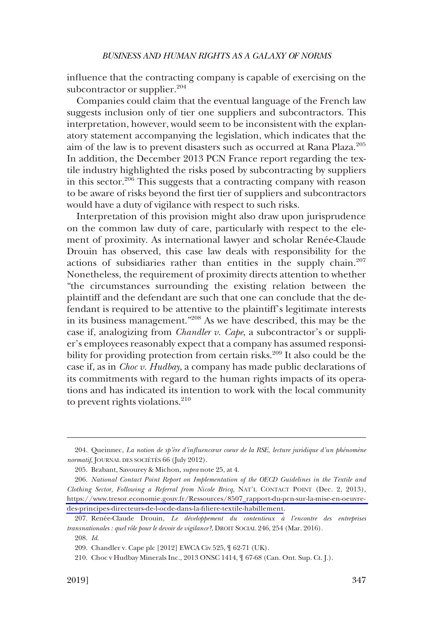influence that the contracting company is capable of exercising on the subcontractor or supplier. $204$ 

Companies could claim that the eventual language of the French law suggests inclusion only of tier one suppliers and subcontractors. This interpretation, however, would seem to be inconsistent with the explanatory statement accompanying the legislation, which indicates that the aim of the law is to prevent disasters such as occurred at Rana Plaza.205 In addition, the December 2013 PCN France report regarding the textile industry highlighted the risks posed by subcontracting by suppliers in this sector.<sup>206</sup> This suggests that a contracting company with reason to be aware of risks beyond the first tier of suppliers and subcontractors would have a duty of vigilance with respect to such risks.

Interpretation of this provision might also draw upon jurisprudence on the common law duty of care, particularly with respect to the element of proximity. As international lawyer and scholar Renée-Claude Drouin has observed, this case law deals with responsibility for the actions of subsidiaries rather than entities in the supply chain. $207$ Nonetheless, the requirement of proximity directs attention to whether "the circumstances surrounding the existing relation between the plaintiff and the defendant are such that one can conclude that the defendant is required to be attentive to the plaintiff's legitimate interests in its business management."208 As we have described, this may be the case if, analogizing from *Chandler v. Cape*, a subcontractor's or supplier's employees reasonably expect that a company has assumed responsibility for providing protection from certain risks.<sup>209</sup> It also could be the case if, as in *Choc v. Hudbay*, a company has made public declarations of its commitments with regard to the human rights impacts of its operations and has indicated its intention to work with the local community to prevent rights violations. $210$ 

<sup>204.</sup> Queinnec, *La notion de sp'ère d'influencœur coeur de la RSE, lecture juridique d'un phénomène normatif*, JOURNAL DES SOCIÉTÉS 66 (July 2012).

<sup>205.</sup> Brabant, Savourey & Michon, *supra* note 25, at 4.

<sup>206.</sup> National Contact Point Report on Implementation of the OECD Guidelines in the Textile and *Clothing Sector, Following a Referral from Nicole Bricq*, NAT'L CONTACT POINT (Dec. 2, 2013), [https://www.tresor.economie.gouv.fr/Ressources/8507\\_rapport-du-pcn-sur-la-mise-en-oeuvre](https://www.tresor.economie.gouv.fr/Ressources/8507_rapport-du-pcn-sur-la-mise-en-oeuvre-des-principes-directeurs-de-l-ocde-dans-la-filiere-textile-habillement)[des-principes-directeurs-de-l-ocde-dans-la-filiere-textile-habillement](https://www.tresor.economie.gouv.fr/Ressources/8507_rapport-du-pcn-sur-la-mise-en-oeuvre-des-principes-directeurs-de-l-ocde-dans-la-filiere-textile-habillement).

<sup>207.</sup> Renée-Claude Drouin, *Le développement du contentieux à l'encontre des entreprises* transnationales : quel rôle pour le devoir de vigilance?, DROIT SOCIAL 246, 254 (Mar. 2016).

<sup>208.</sup> *Id*.

<sup>209.</sup> Chandler v. Cape plc [2012] EWCA Civ 525, ¶ 62-71 (UK).

<sup>210.</sup> Choc v Hudbay Minerals Inc., 2013 ONSC 1414, ¶ 67-68 (Can. Ont. Sup. Ct. J.).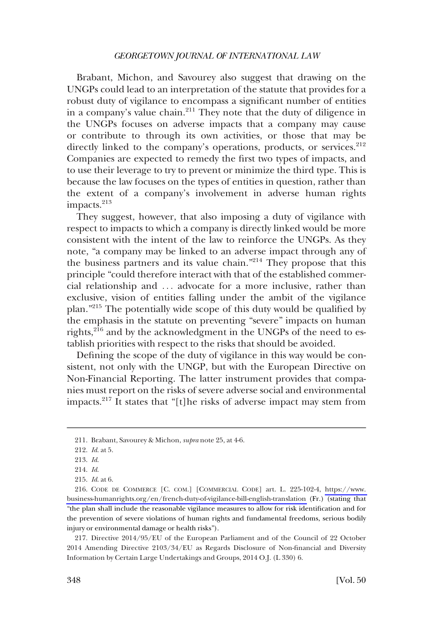Brabant, Michon, and Savourey also suggest that drawing on the UNGPs could lead to an interpretation of the statute that provides for a robust duty of vigilance to encompass a significant number of entities in a company's value chain. $2^{11}$  They note that the duty of diligence in the UNGPs focuses on adverse impacts that a company may cause or contribute to through its own activities, or those that may be directly linked to the company's operations, products, or services.<sup>212</sup> Companies are expected to remedy the first two types of impacts, and to use their leverage to try to prevent or minimize the third type. This is because the law focuses on the types of entities in question, rather than the extent of a company's involvement in adverse human rights impacts.<sup>213</sup>

They suggest, however, that also imposing a duty of vigilance with respect to impacts to which a company is directly linked would be more consistent with the intent of the law to reinforce the UNGPs. As they note, "a company may be linked to an adverse impact through any of the business partners and its value chain."214 They propose that this principle "could therefore interact with that of the established commercial relationship and . . . advocate for a more inclusive, rather than exclusive, vision of entities falling under the ambit of the vigilance plan."215 The potentially wide scope of this duty would be qualified by the emphasis in the statute on preventing "severe" impacts on human rights, $^{216}$  and by the acknowledgment in the UNGPs of the need to establish priorities with respect to the risks that should be avoided.

Defining the scope of the duty of vigilance in this way would be consistent, not only with the UNGP, but with the European Directive on Non-Financial Reporting. The latter instrument provides that companies must report on the risks of severe adverse social and environmental impacts.<sup>217</sup> It states that "[t]he risks of adverse impact may stem from

217. Directive 2014/95/EU of the European Parliament and of the Council of 22 October 2014 Amending Directive 2103/34/EU as Regards Disclosure of Non-financial and Diversity Information by Certain Large Undertakings and Groups, 2014 O.J. (L 330) 6.

<sup>211.</sup> Brabant, Savourey & Michon, *supra* note 25, at 4-6.

<sup>212.</sup> *Id*. at 5.

<sup>213.</sup> *Id*.

<sup>214.</sup> *Id*.

<sup>215.</sup> *Id*. at 6.

<sup>216.</sup> CODE DE COMMERCE [C. COM.] [COMMERCIAL CODE] art. L. 225-102-4, https://www. [business-humanrights.org/en/french-duty-of-vigilance-bill-english-translation](https://www.business-humanrights.org/en/french-duty-of-vigilance-bill-english-translation) (Fr.) (stating that "the plan shall include the reasonable vigilance measures to allow for risk identification and for the prevention of severe violations of human rights and fundamental freedoms, serious bodily injury or environmental damage or health risks").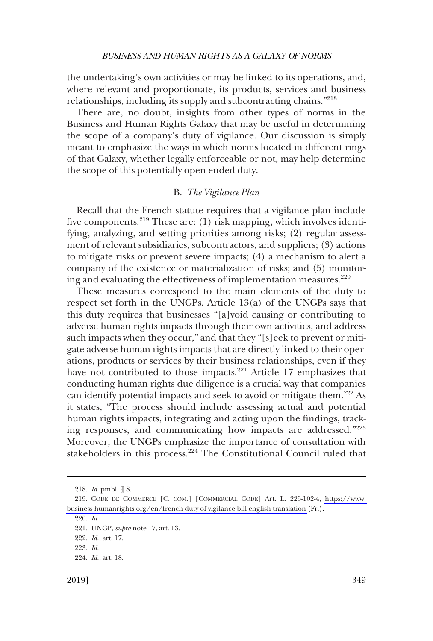<span id="page-40-0"></span>the undertaking's own activities or may be linked to its operations, and, where relevant and proportionate, its products, services and business relationships, including its supply and subcontracting chains."218

There are, no doubt, insights from other types of norms in the Business and Human Rights Galaxy that may be useful in determining the scope of a company's duty of vigilance. Our discussion is simply meant to emphasize the ways in which norms located in different rings of that Galaxy, whether legally enforceable or not, may help determine the scope of this potentially open-ended duty.

#### B. *The Vigilance Plan*

Recall that the French statute requires that a vigilance plan include five components.<sup>219</sup> These are: (1) risk mapping, which involves identifying, analyzing, and setting priorities among risks; (2) regular assessment of relevant subsidiaries, subcontractors, and suppliers; (3) actions to mitigate risks or prevent severe impacts; (4) a mechanism to alert a company of the existence or materialization of risks; and (5) monitoring and evaluating the effectiveness of implementation measures.<sup>220</sup>

These measures correspond to the main elements of the duty to respect set forth in the UNGPs. Article 13(a) of the UNGPs says that this duty requires that businesses "[a]void causing or contributing to adverse human rights impacts through their own activities, and address such impacts when they occur," and that they "[s]eek to prevent or mitigate adverse human rights impacts that are directly linked to their operations, products or services by their business relationships, even if they have not contributed to those impacts.<sup>221</sup> Article 17 emphasizes that conducting human rights due diligence is a crucial way that companies can identify potential impacts and seek to avoid or mitigate them.222 As it states, "The process should include assessing actual and potential human rights impacts, integrating and acting upon the findings, tracking responses, and communicating how impacts are addressed."<sup>223</sup> Moreover, the UNGPs emphasize the importance of consultation with stakeholders in this process.<sup>224</sup> The Constitutional Council ruled that

<sup>218.</sup> *Id*. pmbl. ¶ 8.

<sup>219.</sup> CODE DE COMMERCE [C. COM.] [COMMERCIAL CODE] Art. L. 225-102-4, https://www. [business-humanrights.org/en/french-duty-of-vigilance-bill-english-translation](https://www.business-humanrights.org/en/french-duty-of-vigilance-bill-english-translation) (Fr.).

<sup>220.</sup> *Id*.

<sup>221.</sup> UNGP*, supra* note 17, art. 13.

<sup>222.</sup> *Id*., art. 17.

<sup>223.</sup> *Id*.

<sup>224.</sup> *Id*., art. 18.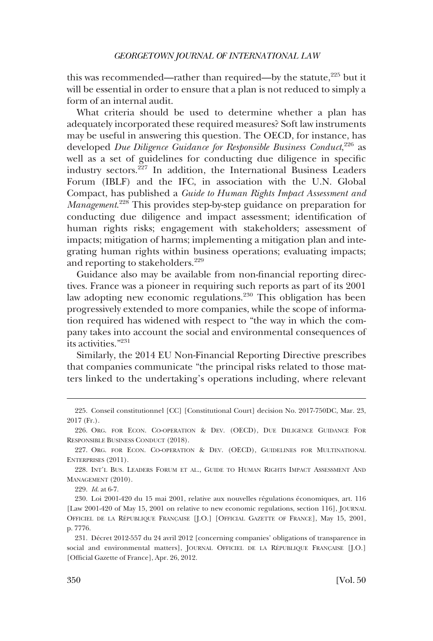this was recommended—rather than required—by the statute, $^{225}$  but it will be essential in order to ensure that a plan is not reduced to simply a form of an internal audit.

What criteria should be used to determine whether a plan has adequately incorporated these required measures? Soft law instruments may be useful in answering this question. The OECD, for instance, has developed *Due Diligence Guidance for Responsible Business Conduct*, 226 as well as a set of guidelines for conducting due diligence in specific industry sectors.227 In addition, the International Business Leaders Forum (IBLF) and the IFC, in association with the U.N. Global Compact, has published a *Guide to Human Rights Impact Assessment and Management*. 228 This provides step-by-step guidance on preparation for conducting due diligence and impact assessment; identification of human rights risks; engagement with stakeholders; assessment of impacts; mitigation of harms; implementing a mitigation plan and integrating human rights within business operations; evaluating impacts; and reporting to stakeholders.<sup>229</sup>

Guidance also may be available from non-financial reporting directives. France was a pioneer in requiring such reports as part of its 2001 law adopting new economic regulations.230 This obligation has been progressively extended to more companies, while the scope of information required has widened with respect to "the way in which the company takes into account the social and environmental consequences of its activities."231

Similarly, the 2014 EU Non-Financial Reporting Directive prescribes that companies communicate "the principal risks related to those matters linked to the undertaking's operations including, where relevant

229. *Id*. at 6-7.

<sup>225.</sup> Conseil constitutionnel [CC] [Constitutional Court] decision No. 2017-750DC, Mar. 23, 2017 (Fr.).

<sup>226.</sup> ORG. FOR ECON. CO-OPERATION & DEV. (OECD), DUE DILIGENCE GUIDANCE FOR RESPONSIBLE BUSINESS CONDUCT (2018).

<sup>227.</sup> ORG. FOR ECON. CO-OPERATION & DEV. (OECD), GUIDELINES FOR MULTINATIONAL ENTERPRISES (2011).

<sup>228.</sup> INT'L BUS. LEADERS FORUM ET AL., GUIDE TO HUMAN RIGHTS IMPACT ASSESSMENT AND MANAGEMENT (2010).

<sup>230.</sup> Loi 2001-420 du 15 mai 2001, relative aux nouvelles régulations économiques, art. 116 [Law 2001-420 of May 15, 2001 on relative to new economic regulations, section 116], JOURNAL OFFICIEL DE LA RÉPUBLIQUE FRANÇAISE [J.O.] [OFFICIAL GAZETTE OF FRANCE], May 15, 2001, p. 7776.

<sup>231.</sup> Décret 2012-557 du 24 avril 2012 [concerning companies' obligations of transparence in social and environmental matters], JOURNAL OFFICIEL DE LA RÉPUBLIQUE FRANÇAISE [J.O.] [Official Gazette of France], Apr. 26, 2012.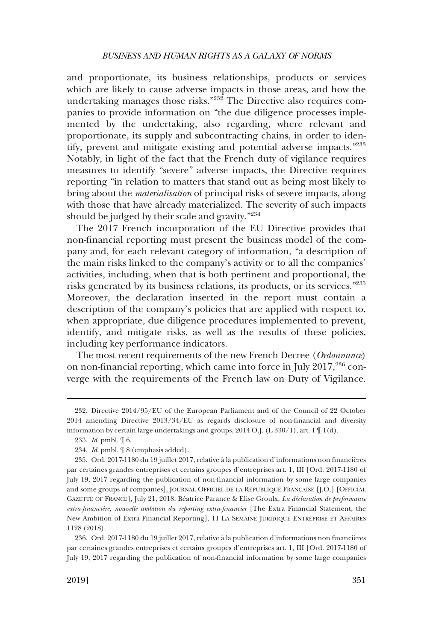and proportionate, its business relationships, products or services which are likely to cause adverse impacts in those areas, and how the undertaking manages those risks."232 The Directive also requires companies to provide information on "the due diligence processes implemented by the undertaking, also regarding, where relevant and proportionate, its supply and subcontracting chains, in order to identify, prevent and mitigate existing and potential adverse impacts."233 Notably, in light of the fact that the French duty of vigilance requires measures to identify "severe" adverse impacts, the Directive requires reporting "in relation to matters that stand out as being most likely to bring about the *materialisation* of principal risks of severe impacts, along with those that have already materialized. The severity of such impacts should be judged by their scale and gravity."<sup>234</sup>

The 2017 French incorporation of the EU Directive provides that non-financial reporting must present the business model of the company and, for each relevant category of information, "a description of the main risks linked to the company's activity or to all the companies' activities, including, when that is both pertinent and proportional, the risks generated by its business relations, its products, or its services."235 Moreover, the declaration inserted in the report must contain a description of the company's policies that are applied with respect to, when appropriate, due diligence procedures implemented to prevent, identify, and mitigate risks, as well as the results of these policies, including key performance indicators.

The most recent requirements of the new French Decree (*Ordonnance*) on non-financial reporting, which came into force in July 2017,<sup>236</sup> converge with the requirements of the French law on Duty of Vigilance.

236. Ord. 2017-1180 du 19 juillet 2017, relative à la publication d'informations non financières par certaines grandes entreprises et certains groupes d'entreprises art. 1, III [Ord. 2017-1180 of July 19, 2017 regarding the publication of non-financial information by some large companies

<sup>232.</sup> Directive 2014/95/EU of the European Parliament and of the Council of 22 October 2014 amending Directive 2013/34/EU as regards disclosure of non-financial and diversity information by certain large undertakings and groups, 2014 O.J. (L 330/1), art. 1 ¶ 1(d).

<sup>233.</sup> *Id*. pmbl. ¶ 6.

<sup>234.</sup> *Id*. pmbl. ¶ 8 (emphasis added).

<sup>235.</sup> Ord. 2017-1180 du 19 juillet 2017, relative à la publication d'informations non financières par certaines grandes entreprises et certains groupes d'entreprises art. 1, III [Ord. 2017-1180 of July 19, 2017 regarding the publication of non-financial information by some large companies and some groups of companies], JOURNAL OFFICIEL DE LA RÉPUBLIQUE FRANÇAISE [J.O.] [OFFICIAL GAZETTE OF FRANCE], July 21, 2018; Be´atrice Parance & Elise Groulx, *La de´claration de performance extra-financie`re, nouvelle ambition du reporting extra-financier* [The Extra Financial Statement, the New Ambition of Extra Financial Reporting], 11 LA SEMAINE JURIDIQUE ENTREPRISE ET AFFAIRES 1128 (2018).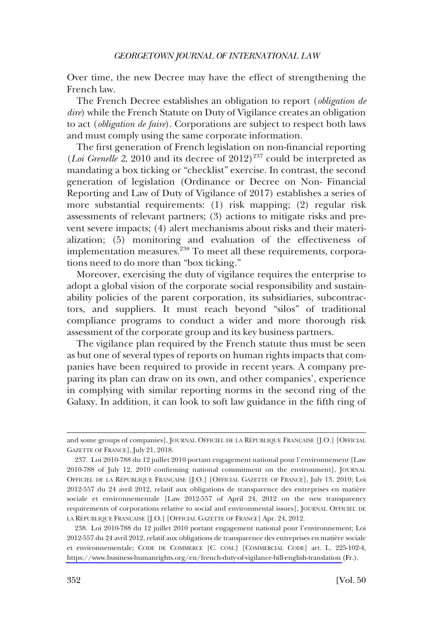Over time, the new Decree may have the effect of strengthening the French law.

The French Decree establishes an obligation to report (*obligation de dire*) while the French Statute on Duty of Vigilance creates an obligation to act (*obligation de faire*). Corporations are subject to respect both laws and must comply using the same corporate information.

The first generation of French legislation on non-financial reporting (*Loi Grenelle 2*, 2010 and its decree of 2012)<sup>237</sup> could be interpreted as mandating a box ticking or "checklist" exercise. In contrast, the second generation of legislation (Ordinance or Decree on Non- Financial Reporting and Law of Duty of Vigilance of 2017) establishes a series of more substantial requirements: (1) risk mapping; (2) regular risk assessments of relevant partners; (3) actions to mitigate risks and prevent severe impacts; (4) alert mechanisms about risks and their materialization; (5) monitoring and evaluation of the effectiveness of implementation measures.<sup>238</sup> To meet all these requirements, corporations need to do more than "box ticking."

Moreover, exercising the duty of vigilance requires the enterprise to adopt a global vision of the corporate social responsibility and sustainability policies of the parent corporation, its subsidiaries, subcontractors, and suppliers. It must reach beyond "silos" of traditional compliance programs to conduct a wider and more thorough risk assessment of the corporate group and its key business partners.

The vigilance plan required by the French statute thus must be seen as but one of several types of reports on human rights impacts that companies have been required to provide in recent years. A company preparing its plan can draw on its own, and other companies', experience in complying with similar reporting norms in the second ring of the Galaxy. In addition, it can look to soft law guidance in the fifth ring of

and some groups of companies], JOURNAL OFFICIEL DE LA RÉPUBLIQUE FRANÇAISE [J.O.] [OFFICIAL GAZETTE OF FRANCE], July 21, 2018.

<sup>237.</sup> Loi 2010-788 du 12 juillet 2010 portant engagement national pour l'environnement [Law 2010-788 of July 12, 2010 confirming national commitment on the environment], JOURNAL OFFICIEL DE LA RÉPUBLIQUE FRANÇAISE [J.O.] [OFFICIAL GAZETTE OF FRANCE], July 13, 2010; Loi 2012-557 du 24 avril 2012, relatif aux obligations de transparence des entreprises en matière sociale et environnementale [Law 2012-557 of April 24, 2012 on the new transparency requirements of corporations relative to social and environmental issues], JOURNAL OFFICIEL DE LA RÉPUBLIQUE FRANÇAISE [J.O.] [OFFICIAL GAZETTE OF FRANCE] Apr. 24, 2012.

<sup>238.</sup> Loi 2010-788 du 12 juillet 2010 portant engagement national pour l'environnement; Loi 2012-557 du 24 avril 2012, relatif aux obligations de transparence des entreprises en matière sociale et environnementale; CODE DE COMMERCE [C. COM.] [COMMERCIAL CODE] art. L. 225-102-4, <https://www.business-humanrights.org/en/french-duty-of-vigilance-bill-english-translation> (Fr.).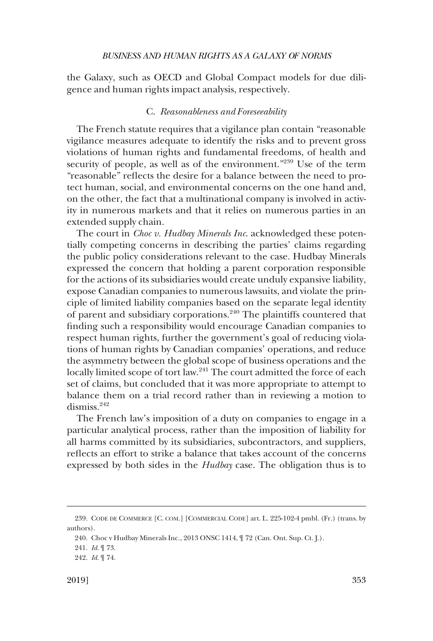<span id="page-44-0"></span>the Galaxy, such as OECD and Global Compact models for due diligence and human rights impact analysis, respectively.

### C. *Reasonableness and Foreseeability*

The French statute requires that a vigilance plan contain "reasonable vigilance measures adequate to identify the risks and to prevent gross violations of human rights and fundamental freedoms, of health and security of people, as well as of the environment."<sup>239</sup> Use of the term "reasonable" reflects the desire for a balance between the need to protect human, social, and environmental concerns on the one hand and, on the other, the fact that a multinational company is involved in activity in numerous markets and that it relies on numerous parties in an extended supply chain.

The court in *Choc v. Hudbay Minerals Inc*. acknowledged these potentially competing concerns in describing the parties' claims regarding the public policy considerations relevant to the case. Hudbay Minerals expressed the concern that holding a parent corporation responsible for the actions of its subsidiaries would create unduly expansive liability, expose Canadian companies to numerous lawsuits, and violate the principle of limited liability companies based on the separate legal identity of parent and subsidiary corporations.<sup>240</sup> The plaintiffs countered that finding such a responsibility would encourage Canadian companies to respect human rights, further the government's goal of reducing violations of human rights by Canadian companies' operations, and reduce the asymmetry between the global scope of business operations and the locally limited scope of tort law.<sup>241</sup> The court admitted the force of each set of claims, but concluded that it was more appropriate to attempt to balance them on a trial record rather than in reviewing a motion to dismiss.<sup>242</sup>

The French law's imposition of a duty on companies to engage in a particular analytical process, rather than the imposition of liability for all harms committed by its subsidiaries, subcontractors, and suppliers, reflects an effort to strike a balance that takes account of the concerns expressed by both sides in the *Hudbay* case. The obligation thus is to

<sup>239.</sup> CODE DE COMMERCE [C. COM.] [COMMERCIAL CODE] art. L. 225-102-4 pmbl. (Fr.) (trans. by authors).

<sup>240.</sup> Choc v Hudbay Minerals Inc., 2013 ONSC 1414, ¶ 72 (Can. Ont. Sup. Ct. J.).

<sup>241.</sup> *Id*. ¶ 73.

<sup>242.</sup> *Id*. ¶ 74.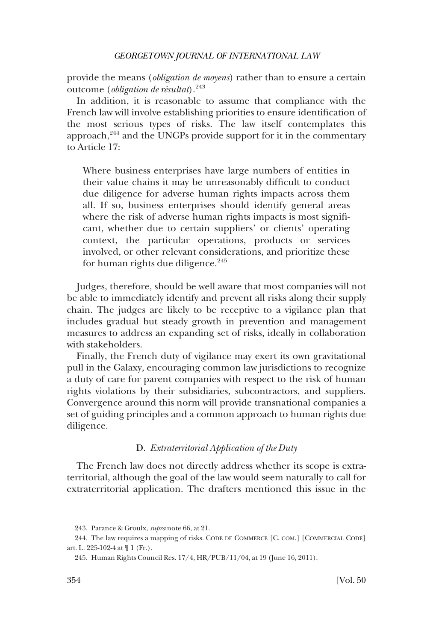<span id="page-45-0"></span>provide the means (*obligation de moyens*) rather than to ensure a certain outcome (*obligation de résultat*).<sup>243</sup>

In addition, it is reasonable to assume that compliance with the French law will involve establishing priorities to ensure identification of the most serious types of risks. The law itself contemplates this approach, $244$  and the UNGPs provide support for it in the commentary to Article 17:

Where business enterprises have large numbers of entities in their value chains it may be unreasonably difficult to conduct due diligence for adverse human rights impacts across them all. If so, business enterprises should identify general areas where the risk of adverse human rights impacts is most significant, whether due to certain suppliers' or clients' operating context, the particular operations, products or services involved, or other relevant considerations, and prioritize these for human rights due diligence.<sup>245</sup>

Judges, therefore, should be well aware that most companies will not be able to immediately identify and prevent all risks along their supply chain. The judges are likely to be receptive to a vigilance plan that includes gradual but steady growth in prevention and management measures to address an expanding set of risks, ideally in collaboration with stakeholders.

Finally, the French duty of vigilance may exert its own gravitational pull in the Galaxy, encouraging common law jurisdictions to recognize a duty of care for parent companies with respect to the risk of human rights violations by their subsidiaries, subcontractors, and suppliers. Convergence around this norm will provide transnational companies a set of guiding principles and a common approach to human rights due diligence.

# D. *Extraterritorial Application of the Duty*

The French law does not directly address whether its scope is extraterritorial, although the goal of the law would seem naturally to call for extraterritorial application. The drafters mentioned this issue in the

<sup>243.</sup> Parance & Groulx, *supra* note 66, at 21.

<sup>244.</sup> The law requires a mapping of risks. CODE DE COMMERCE [C. COM.] [COMMERCIAL CODE] art. L. 225-102-4 at ¶ 1 (Fr.).

<sup>245.</sup> Human Rights Council Res. 17/4, HR/PUB/11/04, at 19 (June 16, 2011).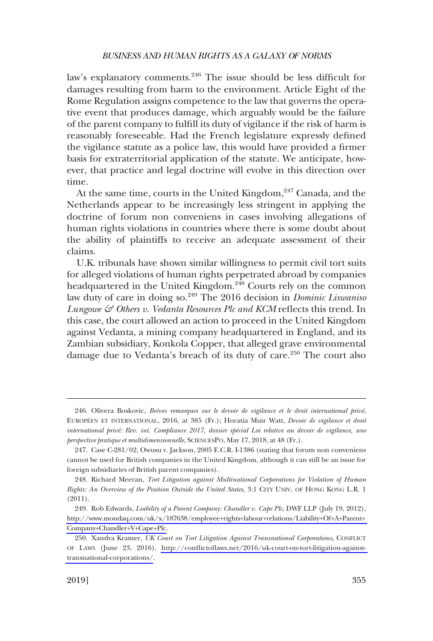law's explanatory comments.<sup>246</sup> The issue should be less difficult for damages resulting from harm to the environment. Article Eight of the Rome Regulation assigns competence to the law that governs the operative event that produces damage, which arguably would be the failure of the parent company to fulfill its duty of vigilance if the risk of harm is reasonably foreseeable. Had the French legislature expressly defined the vigilance statute as a police law, this would have provided a firmer basis for extraterritorial application of the statute. We anticipate, however, that practice and legal doctrine will evolve in this direction over time.

At the same time, courts in the United Kingdom,  $247$  Canada, and the Netherlands appear to be increasingly less stringent in applying the doctrine of forum non conveniens in cases involving allegations of human rights violations in countries where there is some doubt about the ability of plaintiffs to receive an adequate assessment of their claims.

U.K. tribunals have shown similar willingness to permit civil tort suits for alleged violations of human rights perpetrated abroad by companies headquartered in the United Kingdom.<sup>248</sup> Courts rely on the common law duty of care in doing so.<sup>249</sup> The 2016 decision in *Dominic Liswaniso Lungowe & Others v. Vedanta Resources Plc and KCM* reflects this trend. In this case, the court allowed an action to proceed in the United Kingdom against Vedanta, a mining company headquartered in England, and its Zambian subsidiary, Konkola Copper, that alleged grave environmental damage due to Vedanta's breach of its duty of care.<sup>250</sup> The court also

<sup>246.</sup> Olivera Boskovic, *Bre`ves remarques sur le devoir de vigilance et le droit international prive´*, EUROPE´EN ET INTERNATIONAL, 2016, at 385 (Fr.); Horatia Muir Watt, *Devoir de vigilance et droit international prive´: Rev. int. Compliance 2017, dossier spe´cial Loi relative au devoir de vigilance, une perspective pratique et multidimensionnelle*, SCIENCESPO, May 17, 2018, at 48 (Fr.).

<sup>247.</sup> Case C-281/02, Owusu v. Jackson, 2005 E.C.R. I-1386 (stating that forum non conveniens cannot be used for British companies in the United Kingdom, although it can still be an issue for foreign subsidiaries of British parent companies).

<sup>248.</sup> Richard Meeran, *Tort Litigation against Multinational Corporations for Violation of Human Rights: An Overview of the Position Outside the United States*, 3:1 CITY UNIV. OF HONG KONG L.R. 1 (2011).

Rob Edwards, *Liability of a Parent Company: Chandler v. Cape Plc*, DWF LLP (July 19, 2012), 249. [http://www.mondaq.com/uk/x/187638/employee+rights+labour+relations/Liability+Of+A+Parent+](http://www.mondaq.com/uk/x/187638/employee+rights+labour+relations/Liability+Of+A+Parent+Company+Chandler+V+Cape+Plc)  [Company+Chandler+V+Cape+Plc](http://www.mondaq.com/uk/x/187638/employee+rights+labour+relations/Liability+Of+A+Parent+Company+Chandler+V+Cape+Plc).

<sup>250.</sup> Xandra Kramer, UK Court on Tort Litigation Against Transnational Corporations, CONFLICT OF LAWS (June 23, 2016), [http://conflictoflaws.net/2016/uk-court-on-tort-litigation-against](http://conflictoflaws.net/2016/uk-court-on-tort-litigation-against-transnational-corporations/)[transnational-corporations/](http://conflictoflaws.net/2016/uk-court-on-tort-litigation-against-transnational-corporations/).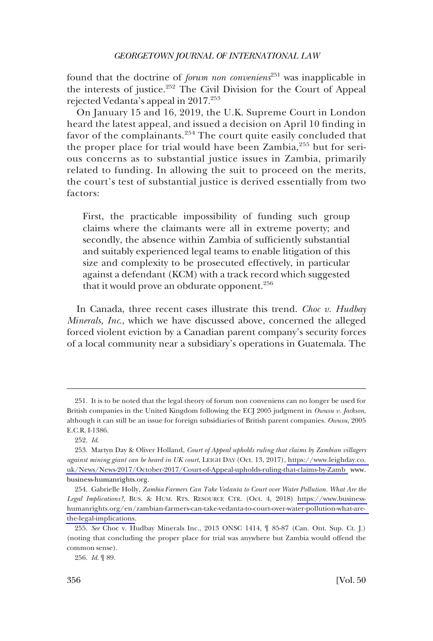found that the doctrine of *forum non conveniens*251 was inapplicable in the interests of justice.<sup>252</sup> The Civil Division for the Court of Appeal rejected Vedanta's appeal in 2017.253

On January 15 and 16, 2019, the U.K. Supreme Court in London heard the latest appeal, and issued a decision on April 10 finding in favor of the complainants.<sup>254</sup> The court quite easily concluded that the proper place for trial would have been  $Zambia$ <sup>255</sup> but for serious concerns as to substantial justice issues in Zambia, primarily related to funding. In allowing the suit to proceed on the merits, the court's test of substantial justice is derived essentially from two factors:

First, the practicable impossibility of funding such group claims where the claimants were all in extreme poverty; and secondly, the absence within Zambia of sufficiently substantial and suitably experienced legal teams to enable litigation of this size and complexity to be prosecuted effectively, in particular against a defendant (KCM) with a track record which suggested that it would prove an obdurate opponent.<sup>256</sup>

In Canada, three recent cases illustrate this trend. *Choc v. Hudbay Minerals, Inc*., which we have discussed above, concerned the alleged forced violent eviction by a Canadian parent company's security forces of a local community near a subsidiary's operations in Guatemala. The

<sup>251.</sup> It is to be noted that the legal theory of forum non conveniens can no longer be used for British companies in the United Kingdom following the ECJ 2005 judgment in *Owusu v. Jackson*, although it can still be an issue for foreign subsidiaries of British parent companies. *Owusu*, 2005 E.C.R. I-1386.

<sup>252.</sup> *Id*.

<sup>253.</sup> Martyn Day & Oliver Holland, *Court of Appeal upholds ruling that claims by Zambian villagers against mining giant can be heard in UK court*, LEIGH DAY (Oct. 13, 2017), [https://www.leighday.co.](https://www.leighday.co.uk/News/News-2017/October-2017/Court-of-Appeal-upholds-ruling-that-claims-by-Zamb www.business-humanrights.org)  [uk/News/News-2017/October-2017/Court-of-Appeal-upholds-ruling-that-claims-by-Zamb](https://www.leighday.co.uk/News/News-2017/October-2017/Court-of-Appeal-upholds-ruling-that-claims-by-Zamb www.business-humanrights.org) www. business-humanrights.org.

<sup>254.</sup> Gabrielle Holly, *Zambia Farmers Can Take Vedanta to Court over Water Pollution. What Are the Legal Implications?*, BUS. & HUM. RTS. RESOURCE CTR. (Oct. 4, 2018) [https://www.business](https://www.business-humanrights.org/en/zambian-farmers-can-take-vedanta-to-court-over-water-pollution-what-are-the-legal-implications)[humanrights.org/en/zambian-farmers-can-take-vedanta-to-court-over-water-pollution-what-are](https://www.business-humanrights.org/en/zambian-farmers-can-take-vedanta-to-court-over-water-pollution-what-are-the-legal-implications)[the-legal-implications.](https://www.business-humanrights.org/en/zambian-farmers-can-take-vedanta-to-court-over-water-pollution-what-are-the-legal-implications)

<sup>255.</sup> *See* Choc v. Hudbay Minerals Inc., 2013 ONSC 1414, ¶ 85-87 (Can. Ont. Sup. Ct. J.) (noting that concluding the proper place for trial was anywhere but Zambia would offend the common sense).

<sup>256.</sup> *Id*. ¶ 89.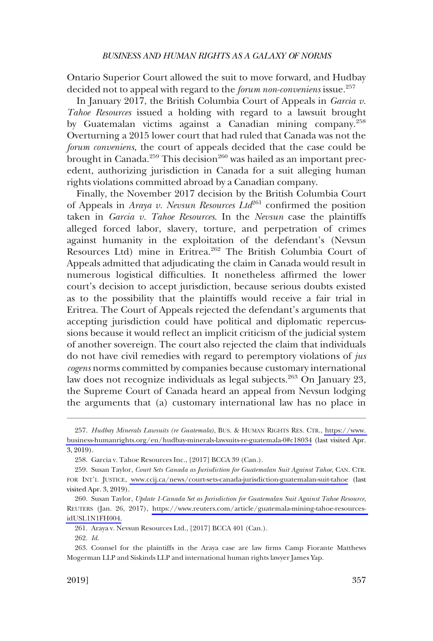Ontario Superior Court allowed the suit to move forward, and Hudbay decided not to appeal with regard to the *forum non-conveniens* issue.<sup>257</sup>

In January 2017, the British Columbia Court of Appeals in *Garcia v. Tahoe Resources* issued a holding with regard to a lawsuit brought by Guatemalan victims against a Canadian mining company.<sup>258</sup> Overturning a 2015 lower court that had ruled that Canada was not the *forum conveniens*, the court of appeals decided that the case could be brought in Canada.<sup>259</sup> This decision<sup>260</sup> was hailed as an important precedent, authorizing jurisdiction in Canada for a suit alleging human rights violations committed abroad by a Canadian company.

Finally, the November 2017 decision by the British Columbia Court of Appeals in *Araya v. Nevsun Resources Ltd*<sup>261</sup> confirmed the position taken in *Garcia v. Tahoe Resources*. In the *Nevsun* case the plaintiffs alleged forced labor, slavery, torture, and perpetration of crimes against humanity in the exploitation of the defendant's (Nevsun Resources Ltd) mine in Eritrea.<sup>262</sup> The British Columbia Court of Appeals admitted that adjudicating the claim in Canada would result in numerous logistical difficulties. It nonetheless affirmed the lower court's decision to accept jurisdiction, because serious doubts existed as to the possibility that the plaintiffs would receive a fair trial in Eritrea. The Court of Appeals rejected the defendant's arguments that accepting jurisdiction could have political and diplomatic repercussions because it would reflect an implicit criticism of the judicial system of another sovereign. The court also rejected the claim that individuals do not have civil remedies with regard to peremptory violations of *jus cogens* norms committed by companies because customary international law does not recognize individuals as legal subjects.<sup>263</sup> On January 23, the Supreme Court of Canada heard an appeal from Nevsun lodging the arguments that (a) customary international law has no place in

*Hudbay Minerals Lawsuits (re Guatemala)*, BUS. & HUMAN RIGHTS RES. CTR., [https://www.](https://www.business-humanrights.org/en/hudbay-minerals-lawsuits-re-guatemala-0#c18034)  257. [business-humanrights.org/en/hudbay-minerals-lawsuits-re-guatemala-0#c18034](https://www.business-humanrights.org/en/hudbay-minerals-lawsuits-re-guatemala-0#c18034) (last visited Apr. 3, 2019).

<sup>258.</sup> Garcia v. Tahoe Resources Inc., [2017] BCCA 39 (Can.).

<sup>259.</sup> Susan Taylor, *Court Sets Canada as Jurisdiction for Guatemalan Suit Against Tahoe*, CAN. CTR. FOR INT'L JUSTICE, [www.ccij.ca/news/court-sets-canada-jurisdiction-guatemalan-suit-tahoe](http://www.ccij.ca/news/court-sets-canada-jurisdiction-guatemalan-suit-tahoe) (last visited Apr. 3, 2019).

<sup>260.</sup> Susan Taylor, *Update 1-Canada Set as Jurisdiction for Guatemalan Suit Against Tahoe Resource*, REUTERS (Jan. 26, 2017), [https://www.reuters.com/article/guatemala-mining-tahoe-resources](https://www.reuters.com/article/guatemala-mining-tahoe-resources-idUSL1N1FH004)[idUSL1N1FH004.](https://www.reuters.com/article/guatemala-mining-tahoe-resources-idUSL1N1FH004)

<sup>261.</sup> Araya v. Nevsun Resources Ltd., [2017] BCCA 401 (Can.).

<sup>262.</sup> *Id*.

<sup>263.</sup> Counsel for the plaintiffs in the Araya case are law firms Camp Fiorante Matthews Mogerman LLP and Siskinds LLP and international human rights lawyer James Yap.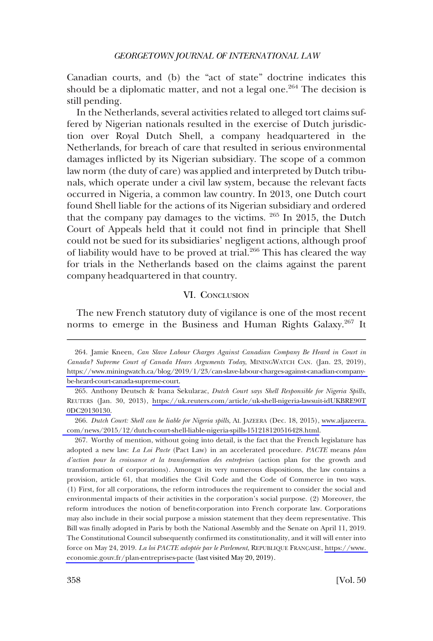<span id="page-49-0"></span>Canadian courts, and (b) the "act of state" doctrine indicates this should be a diplomatic matter, and not a legal one.<sup>264</sup> The decision is still pending.

In the Netherlands, several activities related to alleged tort claims suffered by Nigerian nationals resulted in the exercise of Dutch jurisdiction over Royal Dutch Shell, a company headquartered in the Netherlands, for breach of care that resulted in serious environmental damages inflicted by its Nigerian subsidiary. The scope of a common law norm (the duty of care) was applied and interpreted by Dutch tribunals, which operate under a civil law system, because the relevant facts occurred in Nigeria, a common law country. In 2013, one Dutch court found Shell liable for the actions of its Nigerian subsidiary and ordered that the company pay damages to the victims.  $265$  In 2015, the Dutch Court of Appeals held that it could not find in principle that Shell could not be sued for its subsidiaries' negligent actions, although proof of liability would have to be proved at trial.<sup>266</sup> This has cleared the way for trials in the Netherlands based on the claims against the parent company headquartered in that country.

### VI. CONCLUSION

The new French statutory duty of vigilance is one of the most recent norms to emerge in the Business and Human Rights Galaxy.<sup>267</sup> It

267. Worthy of mention, without going into detail, is the fact that the French legislature has adopted a new law: *La Loi Pacte* (Pact Law) in an accelerated procedure. *PACTE* means *plan d'action pour la croissance et la transformation des entreprises* (action plan for the growth and transformation of corporations). Amongst its very numerous dispositions, the law contains a provision, article 61, that modifies the Civil Code and the Code of Commerce in two ways. (1) First, for all corporations, the reform introduces the requirement to consider the social and environmental impacts of their activities in the corporation's social purpose. (2) Moreover, the reform introduces the notion of benefit-corporation into French corporate law. Corporations may also include in their social purpose a mission statement that they deem representative. This Bill was finally adopted in Paris by both the National Assembly and the Senate on April 11, 2019. The Constitutional Council subsequently confirmed its constitutionality, and it will will enter into force on May 24, 2019. *La loi PACTE adoptée par le Parlement*, REPUBLIQUE FRANÇAISE, https://www. [economie.gouv.fr/plan-entreprises-pacte](https://www.economie.gouv.fr/plan-entreprises-pacte) (last visited May 20, 2019).

Jamie Kneen, *Can Slave Labour Charges Against Canadian Company Be Heard in Court in*  264. *Canada? Supreme Court of Canada Hears Arguments Today*, MININGWATCH CAN. (Jan. 23, 2019), [https://www.miningwatch.ca/blog/2019/1/23/can-slave-labour-charges-against-canadian-company](https://www.miningwatch.ca/blog/2019/1/23/can-slave-labour-charges-against-canadian-company-be-heard-court-canada-supreme-court)[be-heard-court-canada-supreme-court.](https://www.miningwatch.ca/blog/2019/1/23/can-slave-labour-charges-against-canadian-company-be-heard-court-canada-supreme-court)

<sup>265.</sup> Anthony Deutsch & Ivana Sekularac, *Dutch Court says Shell Responsible for Nigeria Spills*, REUTERS (Jan. 30, 2013), [https://uk.reuters.com/article/uk-shell-nigeria-lawsuit-idUKBRE90T](https://uk.reuters.com/article/uk-shell-nigeria-lawsuit-idUKBRE90T0DC20130130)  [0DC20130130.](https://uk.reuters.com/article/uk-shell-nigeria-lawsuit-idUKBRE90T0DC20130130)

*Dutch Court: Shell can be liable for Nigeria spills*, AL JAZEERA (Dec. 18, 2015), [www.aljazeera.](https://www.aljazeera.com/news/2015/12/dutch-court-shell-liable-nigeria-spills-151218120516428.html)  266. [com/news/2015/12/dutch-court-shell-liable-nigeria-spills-151218120516428.html](https://www.aljazeera.com/news/2015/12/dutch-court-shell-liable-nigeria-spills-151218120516428.html).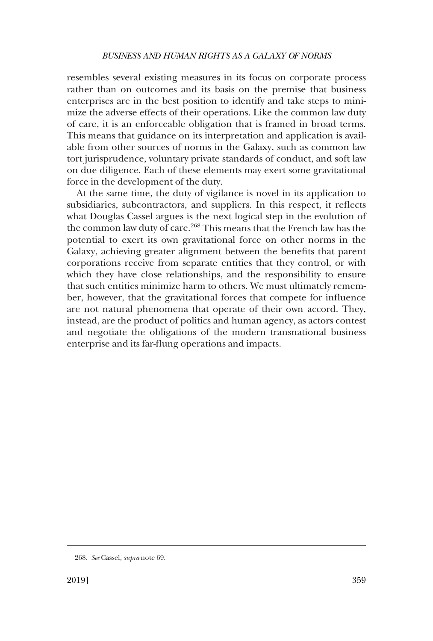resembles several existing measures in its focus on corporate process rather than on outcomes and its basis on the premise that business enterprises are in the best position to identify and take steps to minimize the adverse effects of their operations. Like the common law duty of care, it is an enforceable obligation that is framed in broad terms. This means that guidance on its interpretation and application is available from other sources of norms in the Galaxy, such as common law tort jurisprudence, voluntary private standards of conduct, and soft law on due diligence. Each of these elements may exert some gravitational force in the development of the duty.

At the same time, the duty of vigilance is novel in its application to subsidiaries, subcontractors, and suppliers. In this respect, it reflects what Douglas Cassel argues is the next logical step in the evolution of the common law duty of care.<sup>268</sup> This means that the French law has the potential to exert its own gravitational force on other norms in the Galaxy, achieving greater alignment between the benefits that parent corporations receive from separate entities that they control, or with which they have close relationships, and the responsibility to ensure that such entities minimize harm to others. We must ultimately remember, however, that the gravitational forces that compete for influence are not natural phenomena that operate of their own accord. They, instead, are the product of politics and human agency, as actors contest and negotiate the obligations of the modern transnational business enterprise and its far-flung operations and impacts.

<sup>268.</sup> *See* Cassel, *supra* note 69.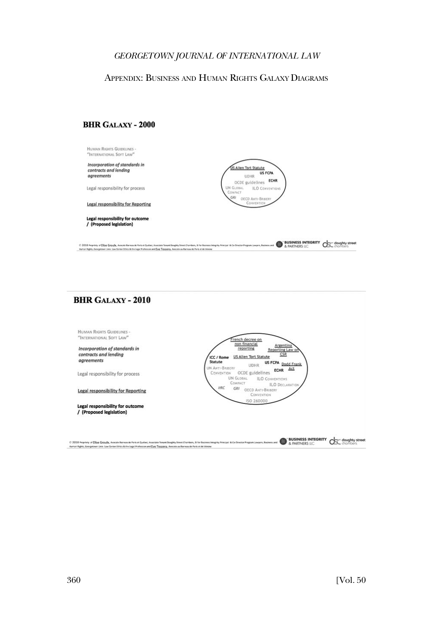### <span id="page-51-0"></span>APPENDIX: BUSINESS AND HUMAN RIGHTS GALAXY DIAGRAMS

### **BHR GALAXY - 2000**



# **BHR GALAXY - 2010**

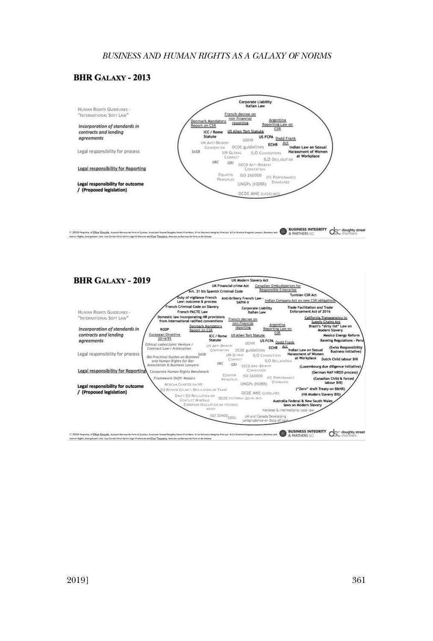#### **BHR GALAXY - 2013**



The Integral Precedi & Co-Streeter Program Lawyers, Business and CO & PARTNERS ILC CO CO COUNTY COLLECTIONS © 2018 Propriety of Ellise Geguby, Avocate Rarmau de Park et Québec, Asociate Tenant Doughly Street Chambers, Il for Business Int<br>Human Rights, Georgetaum Unix. Law Genter Dirics & the Legal Profession and Eye; Tesspera, A